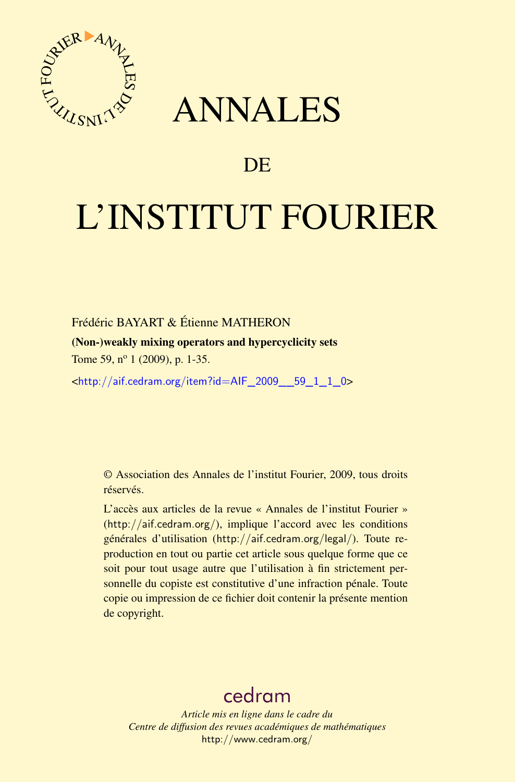

# ANNALES

## **DE**

# L'INSTITUT FOURIER

Frédéric BAYART & Étienne MATHERON

(Non-)weakly mixing operators and hypercyclicity sets

Tome 59, n<sup>o</sup> 1 (2009), p. 1-35.

<[http://aif.cedram.org/item?id=AIF\\_2009\\_\\_59\\_1\\_1\\_0](http://aif.cedram.org/item?id=AIF_2009__59_1_1_0)>

© Association des Annales de l'institut Fourier, 2009, tous droits réservés.

L'accès aux articles de la revue « Annales de l'institut Fourier » (<http://aif.cedram.org/>), implique l'accord avec les conditions générales d'utilisation (<http://aif.cedram.org/legal/>). Toute reproduction en tout ou partie cet article sous quelque forme que ce soit pour tout usage autre que l'utilisation à fin strictement personnelle du copiste est constitutive d'une infraction pénale. Toute copie ou impression de ce fichier doit contenir la présente mention de copyright.

## [cedram](http://www.cedram.org/)

*Article mis en ligne dans le cadre du Centre de diffusion des revues académiques de mathématiques* <http://www.cedram.org/>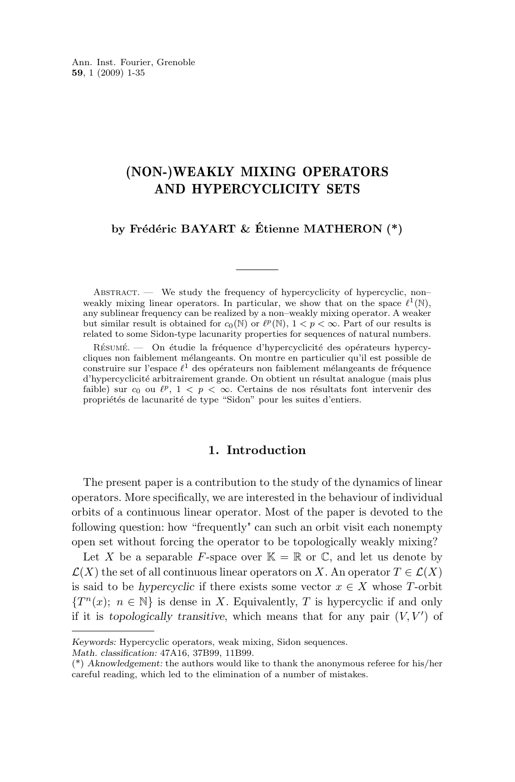## (NON-)WEAKLY MIXING OPERATORS AND HYPERCYCLICITY SETS

## **by Frédéric BAYART & Étienne MATHERON (\*)**

ABSTRACT. — We study the frequency of hypercyclicity of hypercyclic, nonweakly mixing linear operators. In particular, we show that on the space  $\ell^1(\mathbb{N}),$ any sublinear frequency can be realized by a non–weakly mixing operator. A weaker but similar result is obtained for  $c_0(\mathbb{N})$  or  $\ell^p(\mathbb{N})$ ,  $1 < p < \infty$ . Part of our results is related to some Sidon-type lacunarity properties for sequences of natural numbers.

Résumé. — On étudie la fréquence d'hypercyclicité des opérateurs hypercycliques non faiblement mélangeants. On montre en particulier qu'il est possible de construire sur l'espace  $\ell^1$  des opérateurs non faiblement mélangeants de fréquence d'hypercyclicité arbitrairement grande. On obtient un résultat analogue (mais plus faible) sur  $c_0$  ou  $\ell^p$ ,  $1 < p < \infty$ . Certains de nos résultats font intervenir des propriétés de lacunarité de type "Sidon" pour les suites d'entiers.

## **1. Introduction**

The present paper is a contribution to the study of the dynamics of linear operators. More specifically, we are interested in the behaviour of individual orbits of a continuous linear operator. Most of the paper is devoted to the following question: how "frequently" can such an orbit visit each nonempty open set without forcing the operator to be topologically weakly mixing?

Let X be a separable F-space over  $\mathbb{K} = \mathbb{R}$  or  $\mathbb{C}$ , and let us denote by  $\mathcal{L}(X)$  the set of all continuous linear operators on X. An operator  $T \in \mathcal{L}(X)$ is said to be *hypercyclic* if there exists some vector  $x \in X$  whose T-orbit  ${T<sup>n</sup>(x)}$ ;  $n \in \mathbb{N}$  is dense in X. Equivalently, T is hypercyclic if and only if it is *topologically transitive*, which means that for any pair  $(V, V')$  of

*Math. classification:* 47A16, 37B99, 11B99.

*Keywords:* Hypercyclic operators, weak mixing, Sidon sequences.

<sup>(\*)</sup> *Aknowledgement:* the authors would like to thank the anonymous referee for his/her careful reading, which led to the elimination of a number of mistakes.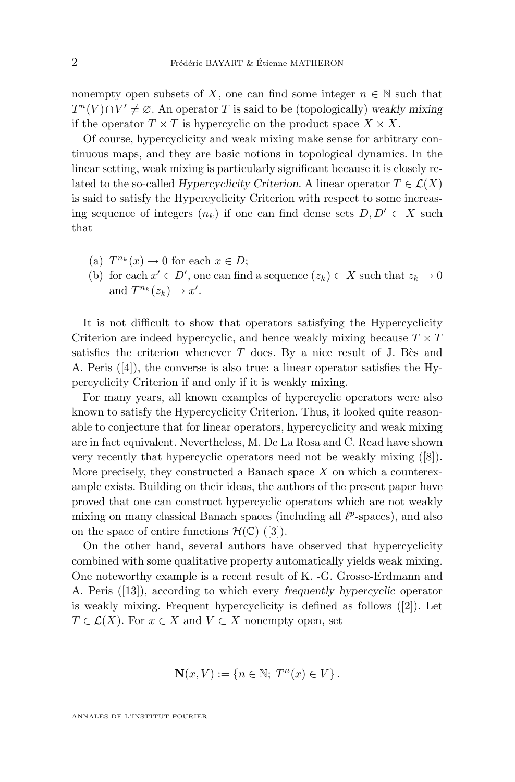nonempty open subsets of X, one can find some integer  $n \in \mathbb{N}$  such that  $T^{n}(V) \cap V' \neq \emptyset$ . An operator T is said to be (topologically) *weakly mixing* if the operator  $T \times T$  is hypercyclic on the product space  $X \times X$ .

Of course, hypercyclicity and weak mixing make sense for arbitrary continuous maps, and they are basic notions in topological dynamics. In the linear setting, weak mixing is particularly significant because it is closely related to the so-called *Hypercyclicity Criterion*. A linear operator  $T \in \mathcal{L}(X)$ is said to satisfy the Hypercyclicity Criterion with respect to some increasing sequence of integers  $(n_k)$  if one can find dense sets  $D, D' \subset X$  such that

- (a)  $T^{n_k}(x) \to 0$  for each  $x \in D$ ;
- (b) for each  $x' \in D'$ , one can find a sequence  $(z_k) \subset X$  such that  $z_k \to 0$ and  $T^{n_k}(z_k) \to x'.$

It is not difficult to show that operators satisfying the Hypercyclicity Criterion are indeed hypercyclic, and hence weakly mixing because  $T \times T$ satisfies the criterion whenever  $T$  does. By a nice result of J. Bès and A. Peris ([\[4\]](#page-34-0)), the converse is also true: a linear operator satisfies the Hypercyclicity Criterion if and only if it is weakly mixing.

For many years, all known examples of hypercyclic operators were also known to satisfy the Hypercyclicity Criterion. Thus, it looked quite reasonable to conjecture that for linear operators, hypercyclicity and weak mixing are in fact equivalent. Nevertheless, M. De La Rosa and C. Read have shown very recently that hypercyclic operators need not be weakly mixing ([\[8\]](#page-34-0)). More precisely, they constructed a Banach space  $X$  on which a counterexample exists. Building on their ideas, the authors of the present paper have proved that one can construct hypercyclic operators which are not weakly mixing on many classical Banach spaces (including all  $\ell^p$ -spaces), and also on the space of entire functions  $\mathcal{H}(\mathbb{C})$  ([\[3\]](#page-34-0)).

On the other hand, several authors have observed that hypercyclicity combined with some qualitative property automatically yields weak mixing. One noteworthy example is a recent result of K. -G. Grosse-Erdmann and A. Peris ([\[13\]](#page-34-0)), according to which every *frequently hypercyclic* operator is weakly mixing. Frequent hypercyclicity is defined as follows ([\[2\]](#page-34-0)). Let  $T \in \mathcal{L}(X)$ . For  $x \in X$  and  $V \subset X$  nonempty open, set

$$
\mathbf{N}(x,V) := \{ n \in \mathbb{N};\ T^n(x) \in V \}.
$$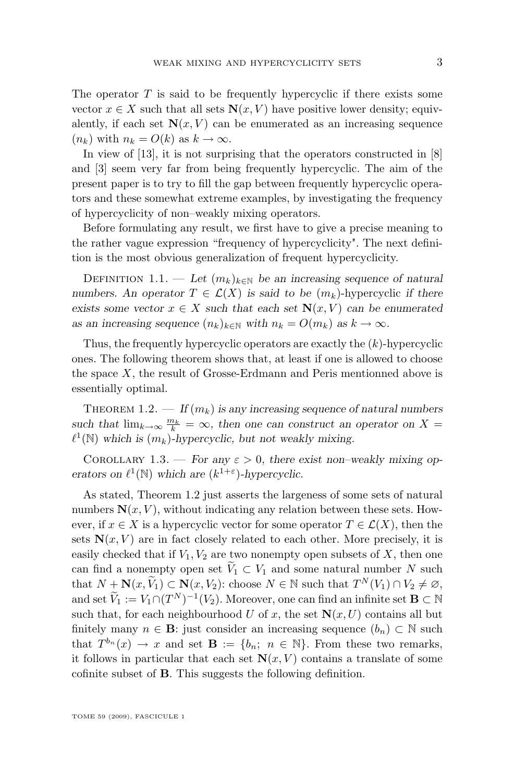<span id="page-3-0"></span>The operator  $T$  is said to be frequently hypercyclic if there exists some vector  $x \in X$  such that all sets  $N(x, V)$  have positive lower density; equivalently, if each set  $N(x, V)$  can be enumerated as an increasing sequence  $(n_k)$  with  $n_k = O(k)$  as  $k \to \infty$ .

In view of [\[13\]](#page-34-0), it is not surprising that the operators constructed in [\[8\]](#page-34-0) and [\[3\]](#page-34-0) seem very far from being frequently hypercyclic. The aim of the present paper is to try to fill the gap between frequently hypercyclic operators and these somewhat extreme examples, by investigating the frequency of hypercyclicity of non–weakly mixing operators.

Before formulating any result, we first have to give a precise meaning to the rather vague expression "frequency of hypercyclicity". The next definition is the most obvious generalization of frequent hypercyclicity.

DEFINITION 1.1. — Let  $(m_k)_{k \in \mathbb{N}}$  be an increasing sequence of natural *numbers. An operator*  $T \in \mathcal{L}(X)$  *is said to be*  $(m_k)$ -hypercyclic *if there exists some vector*  $x \in X$  *such that each set*  $N(x, V)$  *can be enumerated as an increasing sequence*  $(n_k)_{k \in \mathbb{N}}$  *with*  $n_k = O(m_k)$  *as*  $k \to \infty$ *.* 

Thus, the frequently hypercyclic operators are exactly the  $(k)$ -hypercyclic ones. The following theorem shows that, at least if one is allowed to choose the space  $X$ , the result of Grosse-Erdmann and Peris mentionned above is essentially optimal.

THEOREM 1.2.  $\qquad$  *If*  $(m_k)$  *is any increasing sequence of natural numbers* such that  $\lim_{k\to\infty} \frac{m_k}{k} = \infty$ , then one can construct an operator on X =  $\ell^1(\mathbb{N})$  which is  $(m_k)$ -hypercyclic, but not weakly mixing.

COROLLARY 1.3. — *For any*  $\varepsilon > 0$ , there exist non-weakly mixing op*erators on*  $\ell^1(\mathbb{N})$  *which are*  $(k^{1+\epsilon})$ *-hypercyclic.* 

As stated, Theorem 1.2 just asserts the largeness of some sets of natural numbers  $N(x, V)$ , without indicating any relation between these sets. However, if  $x \in X$  is a hypercyclic vector for some operator  $T \in \mathcal{L}(X)$ , then the sets  $N(x, V)$  are in fact closely related to each other. More precisely, it is easily checked that if  $V_1, V_2$  are two nonempty open subsets of X, then one can find a nonempty open set  $\widetilde{V}_1 \subset V_1$  and some natural number N such that  $N + N(x, \widetilde{V}_1) \subset N(x, V_2)$ : choose  $N \in \mathbb{N}$  such that  $T^N(V_1) \cap V_2 \neq \emptyset$ , and set  $\widetilde{V}_1 := V_1 \cap (T^N)^{-1}(V_2)$ . Moreover, one can find an infinite set  $\mathbf{B} \subset \mathbb{N}$ such that, for each neighbourhood U of x, the set  $N(x, U)$  contains all but finitely many  $n \in \mathbf{B}$ : just consider an increasing sequence  $(b_n) \subset \mathbb{N}$  such that  $T^{b_n}(x) \to x$  and set  $\mathbf{B} := \{b_n; n \in \mathbb{N}\}\.$  From these two remarks, it follows in particular that each set  $N(x, V)$  contains a translate of some cofinite subset of B. This suggests the following definition.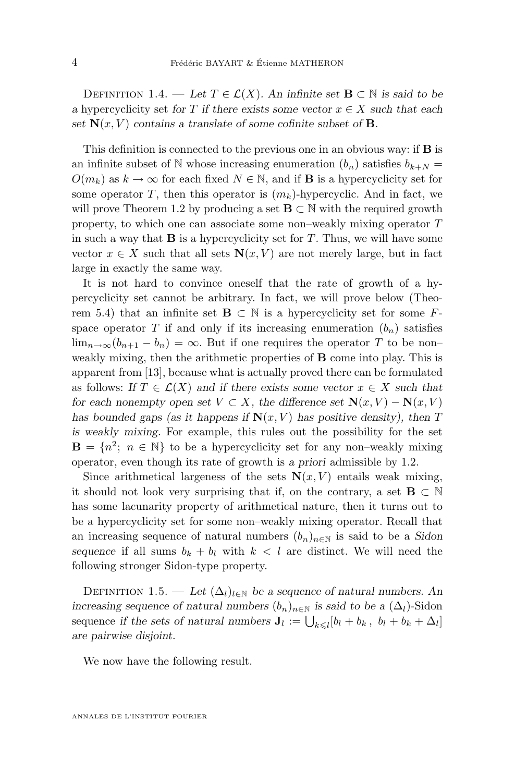<span id="page-4-0"></span>DEFINITION 1.4. — Let  $T \in \mathcal{L}(X)$ . An infinite set  $\mathbf{B} \subset \mathbb{N}$  is said to be *a* hypercyclicity set *for*  $T$  *if there exists some vector*  $x \in X$  *such that each* set  $N(x, V)$  contains a translate of some cofinite subset of **B**.

This definition is connected to the previous one in an obvious way: if B is an infinite subset of N whose increasing enumeration  $(b_n)$  satisfies  $b_{k+N}$  =  $O(m_k)$  as  $k \to \infty$  for each fixed  $N \in \mathbb{N}$ , and if **B** is a hypercyclicity set for some operator T, then this operator is  $(m_k)$ -hypercyclic. And in fact, we will prove Theorem [1.2](#page-3-0) by producing a set  $\mathbf{B} \subset \mathbb{N}$  with the required growth property, to which one can associate some non–weakly mixing operator T in such a way that  $\bf{B}$  is a hypercyclicity set for  $T$ . Thus, we will have some vector  $x \in X$  such that all sets  $N(x, V)$  are not merely large, but in fact large in exactly the same way.

It is not hard to convince oneself that the rate of growth of a hypercyclicity set cannot be arbitrary. In fact, we will prove below (Theo-rem [5.4\)](#page-23-0) that an infinite set  $\mathbf{B} \subset \mathbb{N}$  is a hypercyclicity set for some Fspace operator T if and only if its increasing enumeration  $(b_n)$  satisfies  $\lim_{n\to\infty}(b_{n+1}-b_n)=\infty$ . But if one requires the operator T to be non– weakly mixing, then the arithmetic properties of **B** come into play. This is apparent from [\[13\]](#page-34-0), because what is actually proved there can be formulated as follows: *If*  $T \in \mathcal{L}(X)$  *and if there exists some vector*  $x \in X$  *such that for each nonempty open set*  $V \subset X$ *, the difference set*  $N(x, V) - N(x, V)$ *has bounded gaps (as it happens if*  $N(x, V)$  *has positive density), then* T *is weakly mixing.* For example, this rules out the possibility for the set  $\mathbf{B} = \{n^2; n \in \mathbb{N}\}\$ to be a hypercyclicity set for any non-weakly mixing operator, even though its rate of growth is *a priori* admissible by [1.2.](#page-3-0)

Since arithmetical largeness of the sets  $N(x, V)$  entails weak mixing, it should not look very surprising that if, on the contrary, a set  $\mathbf{B} \subset \mathbb{N}$ has some lacunarity property of arithmetical nature, then it turns out to be a hypercyclicity set for some non–weakly mixing operator. Recall that an increasing sequence of natural numbers  $(b_n)_{n\in\mathbb{N}}$  is said to be a *Sidon* sequence if all sums  $b_k + b_l$  with  $k < l$  are distinct. We will need the following stronger Sidon-type property.

DEFINITION 1.5. — Let  $(\Delta_l)_{l \in \mathbb{N}}$  be a sequence of natural numbers. An *increasing sequence of natural numbers*  $(b_n)_{n\in\mathbb{N}}$  *is said to be a*  $(\Delta_l)$ -Sidon sequence *if the sets of natural numbers*  $J_l := \bigcup_{k \leq l} [b_l + b_k, b_l + b_k + \Delta_l]$ *are pairwise disjoint.*

We now have the following result.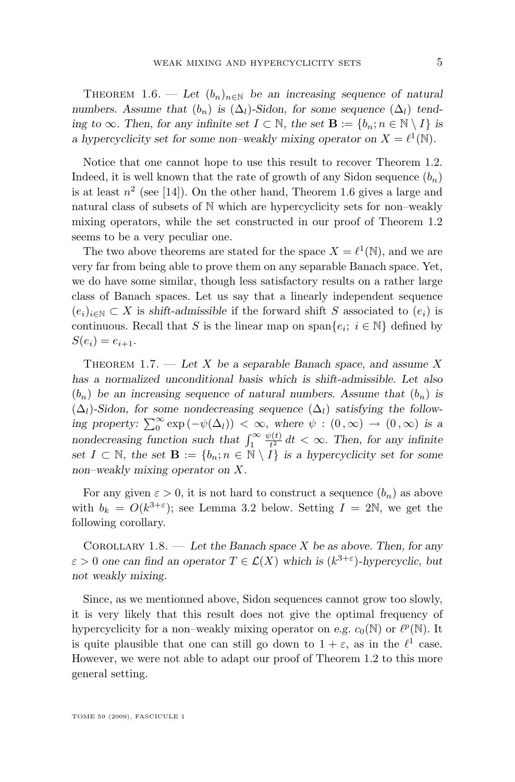<span id="page-5-0"></span>THEOREM 1.6. — Let  $(b_n)_{n \in \mathbb{N}}$  be an increasing sequence of natural *numbers.* Assume that  $(b_n)$  is  $(\Delta_l)$ -Sidon, for some sequence  $(\Delta_l)$  tend*ing to*  $\infty$ *. Then, for any infinite set*  $I \subset \mathbb{N}$ *, the set*  $\mathbf{B} := \{b_n : n \in \mathbb{N} \setminus I\}$  *is a hypercyclicity set for some non–weakly mixing operator on*  $X = \ell^1(\mathbb{N})$ .

Notice that one cannot hope to use this result to recover Theorem [1.2.](#page-3-0) Indeed, it is well known that the rate of growth of any Sidon sequence  $(b_n)$ is at least  $n^2$  (see [\[14\]](#page-34-0)). On the other hand, Theorem [1.6](#page-4-0) gives a large and natural class of subsets of N which are hypercyclicity sets for non–weakly mixing operators, while the set constructed in our proof of Theorem [1.2](#page-3-0) seems to be a very peculiar one.

The two above theorems are stated for the space  $X = \ell^1(\mathbb{N})$ , and we are very far from being able to prove them on any separable Banach space. Yet, we do have some similar, though less satisfactory results on a rather large class of Banach spaces. Let us say that a linearly independent sequence  $(e_i)_{i\in\mathbb{N}}\subset X$  is *shift-admissible* if the forward shift S associated to  $(e_i)$  is continuous. Recall that S is the linear map on span ${e_i; i \in \mathbb{N}}$  defined by  $S(e_i) = e_{i+1}.$ 

Theorem 1.7. — *Let* X *be a separable Banach space, and assume* X *has a normalized unconditional basis which is shift-admissible. Let also*  $(b_n)$  be an increasing sequence of natural numbers. Assume that  $(b_n)$  is  $(\Delta_l)$ -Sidon, for some nondecreasing sequence  $(\Delta_l)$  satisfying the follow*ing property:*  $\sum_{0}^{\infty} \exp(-\psi(\Delta_l)) < \infty$ , where  $\psi : (0, \infty) \to (0, \infty)$  *is a nondecreasing function such that*  $\int_{1}^{\infty}$  $\psi(t)$  $t_1^{\nu(t)}$  dt <  $\infty$ . Then, for any infinite *set*  $I \subset \mathbb{N}$ *, the set*  $\mathbf{B} := \{b_n : n \in \mathbb{N} \setminus I\}$  *is a hypercyclicity set for some non–weakly mixing operator on* X*.*

For any given  $\varepsilon > 0$ , it is not hard to construct a sequence  $(b_n)$  as above with  $b_k = O(k^{3+\epsilon})$ ; see Lemma [3.2](#page-15-0) below. Setting  $I = 2N$ , we get the following corollary.

Corollary 1.8. — *Let the Banach space* X *be as above. Then, for any*  $\varepsilon > 0$  one can find an operator  $T \in \mathcal{L}(X)$  which is  $(k^{3+\varepsilon})$ -hypercyclic, but *not weakly mixing.*

Since, as we mentionned above, Sidon sequences cannot grow too slowly, it is very likely that this result does not give the optimal frequency of hypercyclicity for a non-weakly mixing operator on *e.g.*  $c_0(\mathbb{N})$  or  $\ell^p(\mathbb{N})$ . It is quite plausible that one can still go down to  $1 + \varepsilon$ , as in the  $\ell^1$  case. However, we were not able to adapt our proof of Theorem [1.2](#page-3-0) to this more general setting.

TOME 59 (2009), FASCICULE 1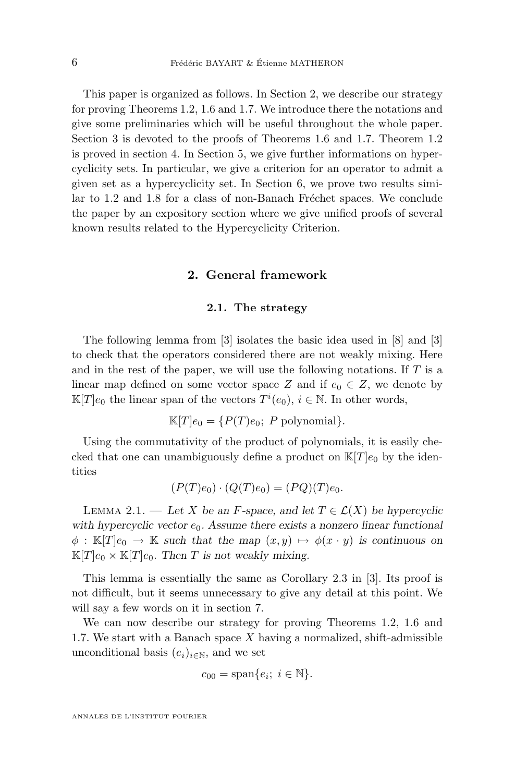<span id="page-6-0"></span>This paper is organized as follows. In Section 2, we describe our strategy for proving Theorems [1.2,](#page-3-0) [1.6](#page-4-0) and [1.7.](#page-5-0) We introduce there the notations and give some preliminaries which will be useful throughout the whole paper. Section [3](#page-12-0) is devoted to the proofs of Theorems [1.6](#page-4-0) and [1.7.](#page-5-0) Theorem [1.2](#page-3-0) is proved in section [4.](#page-17-0) In Section [5,](#page-20-0) we give further informations on hypercyclicity sets. In particular, we give a criterion for an operator to admit a given set as a hypercyclicity set. In Section [6,](#page-25-0) we prove two results similar to [1.2](#page-3-0) and [1.8](#page-5-0) for a class of non-Banach Fréchet spaces. We conclude the paper by an expository section where we give unified proofs of several known results related to the Hypercyclicity Criterion.

## **2. General framework**

## **2.1. The strategy**

The following lemma from [\[3\]](#page-34-0) isolates the basic idea used in [\[8\]](#page-34-0) and [\[3\]](#page-34-0) to check that the operators considered there are not weakly mixing. Here and in the rest of the paper, we will use the following notations. If  $T$  is a linear map defined on some vector space Z and if  $e_0 \in Z$ , we denote by  $\mathbb{K}[T]e_0$  the linear span of the vectors  $T^i(e_0), i \in \mathbb{N}$ . In other words,

$$
\mathbb{K}[T]e_0 = \{P(T)e_0; P \text{ polynomial}\}.
$$

Using the commutativity of the product of polynomials, it is easily checked that one can unambiguously define a product on  $\mathbb{K}[T]e_0$  by the identities

$$
(P(T)e_0) \cdot (Q(T)e_0) = (PQ)(T)e_0.
$$

LEMMA 2.1. — Let X be an F-space, and let  $T \in \mathcal{L}(X)$  be hypercyclic with hypercyclic vector  $e_0$ . Assume there exists a nonzero linear functional  $\phi : \mathbb{K}[T]e_0 \to \mathbb{K}$  *such that the map*  $(x, y) \mapsto \phi(x \cdot y)$  *is continuous on*  $\mathbb{K}[T]e_0 \times \mathbb{K}[T]e_0$ . Then T is not weakly mixing.

This lemma is essentially the same as Corollary 2.3 in [\[3\]](#page-34-0). Its proof is not difficult, but it seems unnecessary to give any detail at this point. We will say a few words on it in section [7.](#page-28-0)

We can now describe our strategy for proving Theorems [1.2,](#page-3-0) [1.6](#page-4-0) and [1.7.](#page-5-0) We start with a Banach space  $X$  having a normalized, shift-admissible unconditional basis  $(e_i)_{i\in\mathbb{N}}$ , and we set

$$
c_{00} = \text{span}\{e_i; i \in \mathbb{N}\}.
$$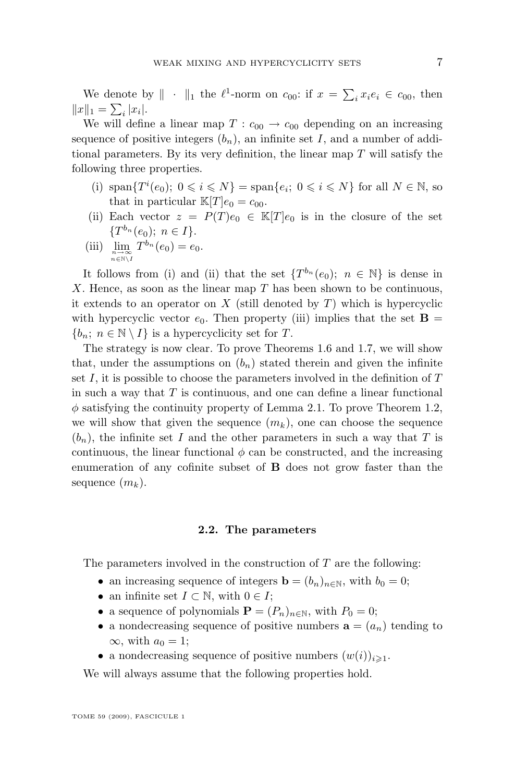We denote by  $\|\cdot\|_1$  the  $\ell^1$ -norm on  $c_{00}$ : if  $x = \sum_i x_i e_i \in c_{00}$ , then  $||x||_1 = \sum_i |x_i|.$ 

We will define a linear map  $T: c_{00} \rightarrow c_{00}$  depending on an increasing sequence of positive integers  $(b_n)$ , an infinite set I, and a number of additional parameters. By its very definition, the linear map T will satisfy the following three properties.

- (i)  $\text{span}\{T^i(e_0); 0 \leq i \leq N\} = \text{span}\{e_i; 0 \leq i \leq N\}$  for all  $N \in \mathbb{N}$ , so that in particular  $\mathbb{K}[T]e_0 = c_{00}$ .
- (ii) Each vector  $z = P(T)e_0 \in \mathbb{K}[T]e_0$  is in the closure of the set  $\{T^{b_n}(e_0); n \in I\}.$
- (iii)  $\lim_{\substack{n \to \infty \\ n \in \mathbb{N} \setminus I}}$  $T^{b_n}(e_0) = e_0.$

It follows from (i) and (ii) that the set  $\{T^{b_n}(e_0); n \in \mathbb{N}\}\)$  is dense in  $X$ . Hence, as soon as the linear map  $T$  has been shown to be continuous, it extends to an operator on X (still denoted by  $T$ ) which is hypercyclic with hypercyclic vector  $e_0$ . Then property (iii) implies that the set **B** =  ${b_n; n \in \mathbb{N} \setminus I}$  is a hypercyclicity set for T.

The strategy is now clear. To prove Theorems [1.6](#page-4-0) and [1.7,](#page-5-0) we will show that, under the assumptions on  $(b_n)$  stated therein and given the infinite set I, it is possible to choose the parameters involved in the definition of  $T$ in such a way that  $T$  is continuous, and one can define a linear functional  $\phi$  satisfying the continuity property of Lemma [2.1.](#page-6-0) To prove Theorem [1.2,](#page-3-0) we will show that given the sequence  $(m_k)$ , one can choose the sequence  $(b_n)$ , the infinite set I and the other parameters in such a way that T is continuous, the linear functional  $\phi$  can be constructed, and the increasing enumeration of any cofinite subset of B does not grow faster than the sequence  $(m_k)$ .

## **2.2. The parameters**

The parameters involved in the construction of  $T$  are the following:

- an increasing sequence of integers  $\mathbf{b} = (b_n)_{n \in \mathbb{N}}$ , with  $b_0 = 0$ ;
- an infinite set  $I \subset \mathbb{N}$ , with  $0 \in I$ ;
- a sequence of polynomials  $\mathbf{P} = (P_n)_{n \in \mathbb{N}}$ , with  $P_0 = 0$ ;
- a nondecreasing sequence of positive numbers  $\mathbf{a} = (a_n)$  tending to  $\infty$ , with  $a_0 = 1$ ;
- a nondecreasing sequence of positive numbers  $(w(i))_{i\geqslant 1}$ .

We will always assume that the following properties hold.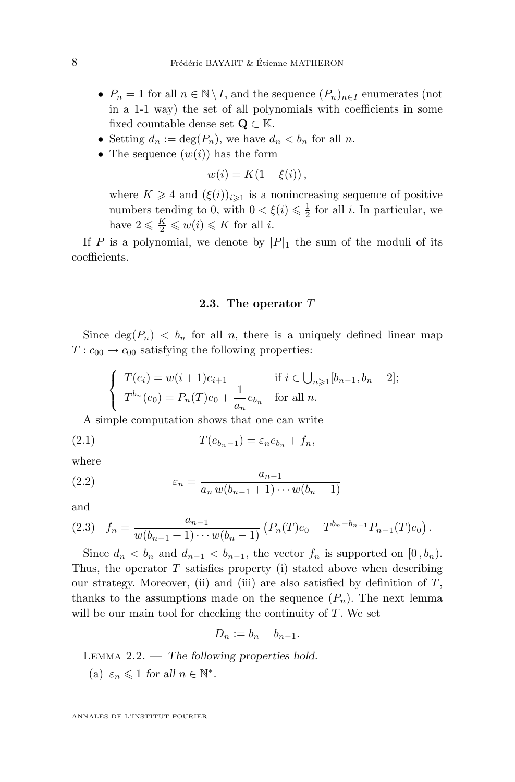- <span id="page-8-0"></span>•  $P_n = 1$  for all  $n \in \mathbb{N} \setminus I$ , and the sequence  $(P_n)_{n \in I}$  enumerates (not in a 1-1 way) the set of all polynomials with coefficients in some fixed countable dense set  $\mathbf{Q} \subset \mathbb{K}$ .
- Setting  $d_n := \deg(P_n)$ , we have  $d_n < b_n$  for all n.
- The sequence  $(w(i))$  has the form

$$
w(i) = K(1 - \xi(i)),
$$

where  $K \geq 4$  and  $(\xi(i))_{i\geq 1}$  is a nonincreasing sequence of positive numbers tending to 0, with  $0 < \xi(i) \leq \frac{1}{2}$  for all *i*. In particular, we have  $2 \leqslant \frac{K}{2} \leqslant w(i) \leqslant K$  for all *i*.

If P is a polynomial, we denote by  $|P|_1$  the sum of the moduli of its coefficients.

## **2.3. The operator** T

Since  $\deg(P_n) < b_n$  for all n, there is a uniquely defined linear map  $T: c_{00} \rightarrow c_{00}$  satisfying the following properties:

$$
\begin{cases}\nT(e_i) = w(i+1)e_{i+1} & \text{if } i \in \bigcup_{n \geq 1} [b_{n-1}, b_n - 2]; \\
T^{b_n}(e_0) = P_n(T)e_0 + \frac{1}{a_n}e_{b_n} & \text{for all } n.\n\end{cases}
$$

A simple computation shows that one can write

$$
(2.1) \t\t T(e_{b_n-1}) = \varepsilon_n e_{b_n} + f_n,
$$

where

(2.2) 
$$
\varepsilon_n = \frac{a_{n-1}}{a_n w(b_{n-1} + 1) \cdots w(b_n - 1)}
$$

and

$$
(2.3) \t f_n = \frac{a_{n-1}}{w(b_{n-1}+1)\cdots w(b_n-1)} \left( P_n(T)e_0 - T^{b_n-b_{n-1}} P_{n-1}(T)e_0 \right).
$$

Since  $d_n < b_n$  and  $d_{n-1} < b_{n-1}$ , the vector  $f_n$  is supported on  $[0, b_n)$ . Thus, the operator  $T$  satisfies property (i) stated above when describing our strategy. Moreover, (ii) and (iii) are also satisfied by definition of  $T$ , thanks to the assumptions made on the sequence  $(P_n)$ . The next lemma will be our main tool for checking the continuity of  $T$ . We set

$$
D_n := b_n - b_{n-1}.
$$

Lemma 2.2. — *The following properties hold.* (a)  $\varepsilon_n \leq 1$  for all  $n \in \mathbb{N}^*$ .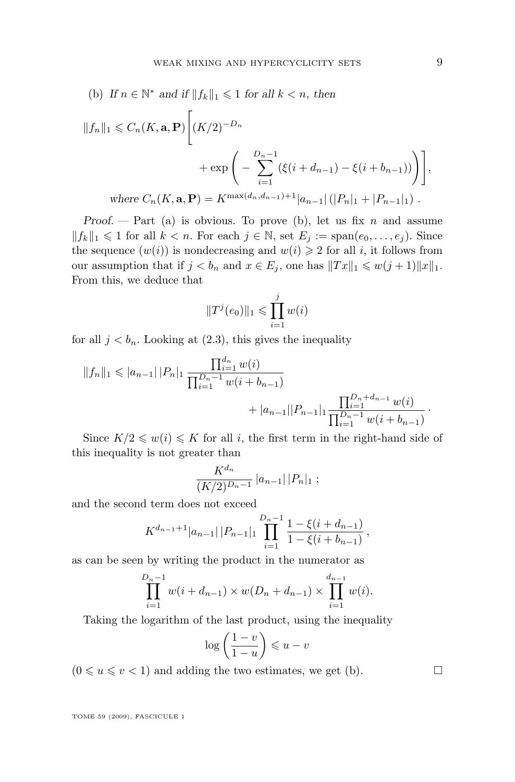(b) If 
$$
n \in \mathbb{N}^*
$$
 and if  $||f_k||_1 \le 1$  for all  $k < n$ , then  
\n
$$
||f_n||_1 \le C_n(K, \mathbf{a}, \mathbf{P}) \Bigg[ (K/2)^{-D_n} + \exp \left( - \sum_{i=1}^{D_n - 1} (\xi(i + d_{n-1}) - \xi(i + b_{n-1})) \right) \Bigg],
$$
\nwhere  $C_n(K, \mathbf{a}, \mathbf{P}) = K^{\max(d_n, d_{n-1}) + 1} |a_{n-1}| (|P_n|_1 + |P_{n-1}|_1)$ .

*Proof.* — Part (a) is obvious. To prove (b), let us fix n and assume  $||f_k||_1 \leq 1$  for all  $k < n$ . For each  $j \in \mathbb{N}$ , set  $E_j := \text{span}(e_0, \ldots, e_j)$ . Since the sequence  $(w(i))$  is nondecreasing and  $w(i) \geq 2$  for all i, it follows from our assumption that if  $j < b_n$  and  $x \in E_j$ , one has  $||Tx||_1 \leq w(j+1)||x||_1$ . From this, we deduce that

$$
||T^{j}(e_0)||_1 \le \prod_{i=1}^{j} w(i)
$$

for all  $j < b_n$ . Looking at [\(2.3\)](#page-8-0), this gives the inequality

$$
||f_n||_1 \leq |a_{n-1}| |P_n|_1 \frac{\prod_{i=1}^{d_n} w(i)}{\prod_{i=1}^{D_n-1} w(i + b_{n-1})} + |a_{n-1}| |P_{n-1}|_1 \frac{\prod_{i=1}^{D_n+d_{n-1}} w(i)}{\prod_{i=1}^{D_n-1} w(i + b_{n-1})}.
$$

Since  $K/2 \leq w(i) \leq K$  for all i, the first term in the right-hand side of this inequality is not greater than

$$
\frac{K^{d_n}}{(K/2)^{D_n-1}} |a_{n-1}| |P_n|_1 ;
$$

and the second term does not exceed

$$
K^{d_{n-1}+1}|a_{n-1}||P_{n-1}|_1 \prod_{i=1}^{D_n-1} \frac{1-\xi(i+d_{n-1})}{1-\xi(i+b_{n-1})},
$$

as can be seen by writing the product in the numerator as

$$
\prod_{i=1}^{D_n-1} w(i + d_{n-1}) \times w(D_n + d_{n-1}) \times \prod_{i=1}^{d_{n-1}} w(i).
$$

Taking the logarithm of the last product, using the inequality

$$
\log\left(\frac{1-v}{1-u}\right) \leqslant u-v
$$

 $(0 \le u \le v < 1)$  and adding the two estimates, we get (b).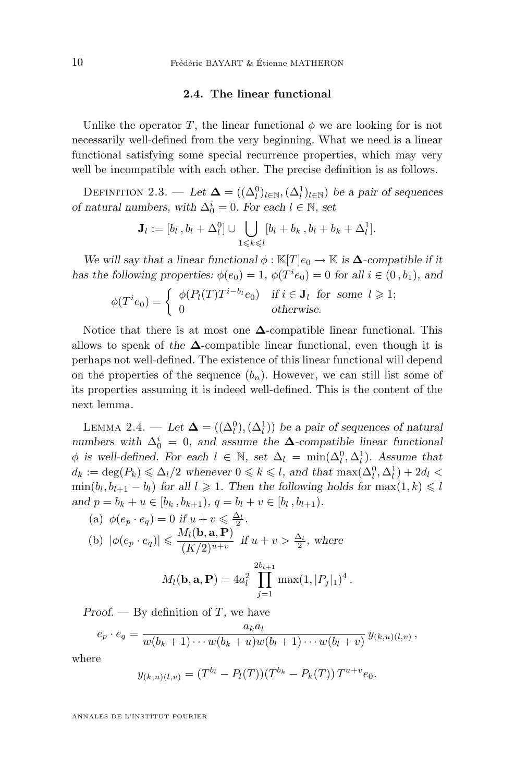## **2.4. The linear functional**

<span id="page-10-0"></span>Unlike the operator T, the linear functional  $\phi$  we are looking for is not necessarily well-defined from the very beginning. What we need is a linear functional satisfying some special recurrence properties, which may very well be incompatible with each other. The precise definition is as follows.

DEFINITION 2.3. — *Let*  $\Delta = ((\Delta_l^0)_{l \in \mathbb{N}}, (\Delta_l^1)_{l \in \mathbb{N}})$  *be a pair of sequences of natural numbers, with*  $\Delta_0^i = 0$ *. For each*  $l \in \mathbb{N}$ *, set* 

$$
\mathbf{J}_l := [b_l, b_l + \Delta_l^0] \cup \bigcup_{1 \leq k \leq l} [b_l + b_k, b_l + b_k + \Delta_l^1].
$$

*We will say that a linear functional*  $\phi : \mathbb{K}[T]e_0 \to \mathbb{K}$  *is*  $\Delta$ *-compatible if it has the following properties:*  $\phi(e_0) = 1$ ,  $\phi(T^i e_0) = 0$  *for all*  $i \in (0, b_1)$ *, and* 

$$
\phi(T^i e_0) = \begin{cases} \phi(P_l(T) T^{i-b_l} e_0) & \text{if } i \in \mathbf{J}_l \text{ for some } l \geqslant 1; \\ 0 & \text{otherwise.} \end{cases}
$$

Notice that there is at most one  $\Delta$ -compatible linear functional. This allows to speak of the  $\Delta$ -compatible linear functional, even though it is perhaps not well-defined. The existence of this linear functional will depend on the properties of the sequence  $(b_n)$ . However, we can still list some of its properties assuming it is indeed well-defined. This is the content of the next lemma.

LEMMA 2.4. — *Let*  $\Delta = ((\Delta_l^0), (\Delta_l^1))$  *be a pair of sequences of natural numbers with*  $\Delta_0^i = 0$ , and assume the  $\Delta$ -compatible linear functional  $\phi$  is well-defined. For each  $l \in \mathbb{N}$ , set  $\Delta_l = \min(\Delta_l^0, \Delta_l^1)$ . Assume that  $d_k := \deg(P_k) \le \Delta_l/2$  whenever  $0 \le k \le l$ , and that  $\max(\Delta_l^0, \Delta_l^1) + 2d_l$  $\min(b_l, b_{l+1} - b_l)$  for all  $l \geq 1$ . Then the following holds for  $\max(1, k) \leq l$ *and*  $p = b_k + u \in [b_k, b_{k+1}), q = b_l + v \in [b_l, b_{l+1}).$ 

(a) 
$$
\phi(e_p \cdot e_q) = 0
$$
 if  $u + v \le \frac{\Delta_1}{2}$ .  
\n(b)  $|\phi(e_p \cdot e_q)| \le \frac{M_l(\mathbf{b}, \mathbf{a}, \mathbf{P})}{(K/2)^{u+v}}$  if  $u + v > \frac{\Delta_l}{2}$ , where  
\n
$$
M_l(\mathbf{b}, \mathbf{a}, \mathbf{P}) = 4a_l^2 \prod_{j=1}^{2b_{l+1}} \max(1, |P_j|_1)^4.
$$

*Proof.* — By definition of T, we have

$$
e_p \cdot e_q = \frac{a_k a_l}{w(b_k+1)\cdots w(b_k+u)w(b_l+1)\cdots w(b_l+v)} y_{(k,u)(l,v)},
$$

 $j=1$ 

where

$$
y_{(k,u)(l,v)} = (T^{b_l} - P_l(T))(T^{b_k} - P_k(T))T^{u+v}e_0.
$$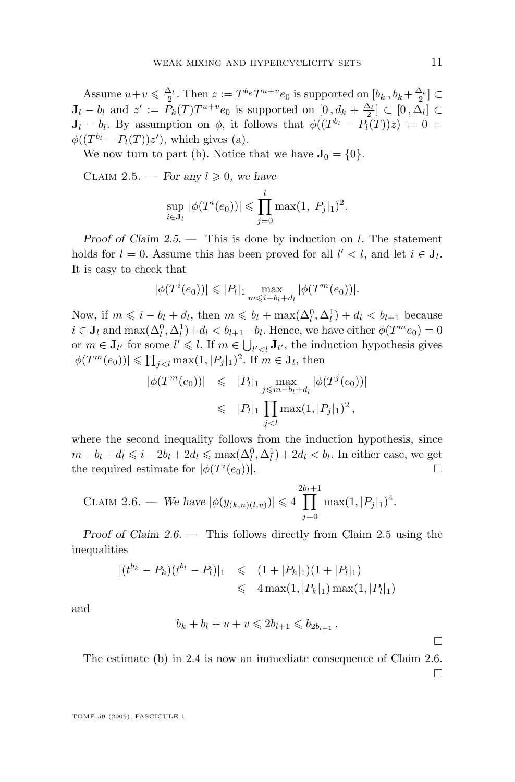Assume  $u+v \leq \frac{\Delta_l}{2}$ . Then  $z := T^{b_k}T^{u+v}e_0$  is supported on  $[b_k, b_k + \frac{\Delta_l}{2}] \subset$  $J_l - b_l$  and  $z' := P_k(T)T^{u+v}e_0$  is supported on  $[0, d_k + \frac{\Delta_l}{2}] \subset [0, \Delta_l] \subset$  $J_l - b_l$ . By assumption on  $\phi$ , it follows that  $\phi((T^{b_l} - P_l(T))z) = 0$  $\phi((T^{b_l}-P_l(T))z')$ , which gives (a).

We now turn to part (b). Notice that we have  $J_0 = \{0\}.$ 

CLAIM 2.5. — *For any*  $l \geq 0$ *, we have* 

$$
\sup_{i \in \mathbf{J}_l} |\phi(T^i(e_0))| \leq \prod_{j=0}^l \max(1, |P_j|_1)^2.
$$

*Proof of Claim 2.5. —* This is done by induction on l. The statement holds for  $l = 0$ . Assume this has been proved for all  $l' < l$ , and let  $i \in J_l$ . It is easy to check that

$$
|\phi(T^i(e_0))| \leq |P_l|_1 \max_{m \leq i-b_l+d_l} |\phi(T^m(e_0))|.
$$

Now, if  $m \leq i - b_l + d_l$ , then  $m \leq b_l + \max(\Delta_l^0, \Delta_l^1) + d_l < b_{l+1}$  because  $i \in J_l$  and  $\max(\Delta_l^0, \Delta_l^1) + d_l < b_{l+1} - b_l$ . Hence, we have either  $\phi(T^m e_0) = 0$ or  $m \in J_{l'}$  for some  $l' \leq l$ . If  $m \in \bigcup_{l' < l} J_{l'}$ , the induction hypothesis gives  $|\phi(T^m(e_0))| \leqslant \prod_{j < l} \max(1, |P_j|_1)^2$ . If  $m \in \mathbf{J}_l$ , then

$$
|\phi(T^m(e_0))| \leq |P_l|_1 \max_{j \leq m - b_l + d_l} |\phi(T^j(e_0))|
$$
  

$$
\leq |P_l|_1 \prod_{j < l} \max(1, |P_j|_1)^2,
$$

where the second inequality follows from the induction hypothesis, since  $m - b_l + d_l \leqslant i - 2b_l + 2d_l \leqslant \max(\Delta_l^0, \Delta_l^1) + 2d_l < b_l$ . In either case, we get the required estimate for  $|\phi(T^i(e_0))|$ .

CLAIM 2.6. — We have 
$$
|\phi(y_{(k,u)(l,v)})| \leq 4 \prod_{j=0}^{2b_l+1} \max(1, |P_j|_1)^4
$$
.

*Proof of Claim 2.6. —* This follows directly from Claim 2.5 using the inequalities

$$
|(t^{b_k} - P_k)(t^{b_l} - P_l)|_1 \le (1 + |P_k|_1)(1 + |P_l|_1)
$$
  

$$
\le 4 \max(1, |P_k|_1) \max(1, |P_l|_1)
$$

and

$$
b_k + b_l + u + v \leq 2b_{l+1} \leq b_{2b_{l+1}}.
$$

The estimate (b) in [2.4](#page-10-0) is now an immediate consequence of Claim 2.6.

 $\Box$ 

П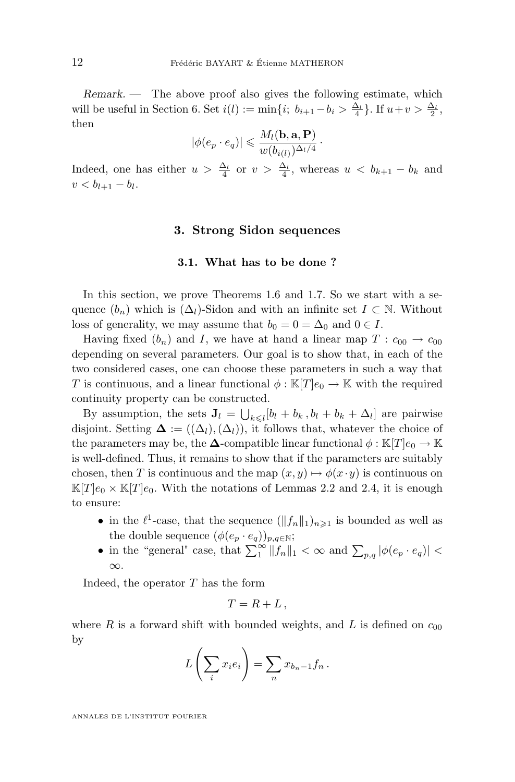<span id="page-12-0"></span>*Remark. —* The above proof also gives the following estimate, which will be useful in Section [6.](#page-25-0) Set  $i(l) := \min\{i; b_{i+1} - b_i > \frac{\Delta_l}{4}\}\.$  If  $u + v > \frac{\Delta_l}{2}$ , then

$$
|\phi(e_p \cdot e_q)| \leqslant \frac{M_l(\mathbf{b}, \mathbf{a}, \mathbf{P})}{w(b_{i(l)})^{\Delta_l/4}}.
$$

Indeed, one has either  $u > \frac{\Delta_l}{4}$  or  $v > \frac{\Delta_l}{4}$ , whereas  $u < b_{k+1} - b_k$  and  $v < b_{l+1} - b_l.$ 

## **3. Strong Sidon sequences**

#### **3.1. What has to be done ?**

In this section, we prove Theorems [1.6](#page-4-0) and [1.7.](#page-5-0) So we start with a sequence  $(b_n)$  which is  $(\Delta_l)$ -Sidon and with an infinite set  $I \subset \mathbb{N}$ . Without loss of generality, we may assume that  $b_0 = 0 = \Delta_0$  and  $0 \in I$ .

Having fixed  $(b_n)$  and I, we have at hand a linear map  $T: c_{00} \rightarrow c_{00}$ depending on several parameters. Our goal is to show that, in each of the two considered cases, one can choose these parameters in such a way that T is continuous, and a linear functional  $\phi : \mathbb{K}[T]e_0 \to \mathbb{K}$  with the required continuity property can be constructed.

By assumption, the sets  $J_l = \bigcup_{k \leq l} [b_l + b_k, b_l + b_k + \Delta_l]$  are pairwise disjoint. Setting  $\Delta := ((\Delta_l), (\Delta_l))$ , it follows that, whatever the choice of the parameters may be, the  $\Delta$ -compatible linear functional  $\phi : \mathbb{K}[T]e_0 \to \mathbb{K}$ is well-defined. Thus, it remains to show that if the parameters are suitably chosen, then T is continuous and the map  $(x, y) \mapsto \phi(x \cdot y)$  is continuous on  $\mathbb{K}[T]e_0 \times \mathbb{K}[T]e_0$ . With the notations of Lemmas [2.2](#page-8-0) and [2.4,](#page-10-0) it is enough to ensure:

- in the  $\ell^1$ -case, that the sequence  $(\|f_n\|_1)_{n\geq 1}$  is bounded as well as the double sequence  $(\phi(e_p \cdot e_q))_{p,q \in \mathbb{N}};$
- in the "general" case, that  $\sum_{1}^{\infty} ||f_n||_1 < \infty$  and  $\sum_{p,q} |\phi(e_p \cdot e_q)| <$ ∞.

Indeed, the operator  $T$  has the form

$$
T=R+L,
$$

where R is a forward shift with bounded weights, and L is defined on  $c_{00}$ by

$$
L\left(\sum_i x_i e_i\right) = \sum_n x_{b_n-1} f_n.
$$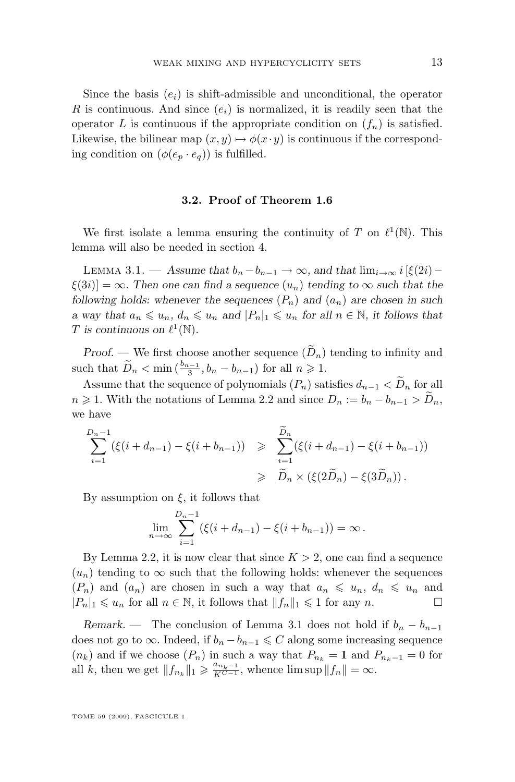<span id="page-13-0"></span>Since the basis  $(e_i)$  is shift-admissible and unconditional, the operator R is continuous. And since  $(e_i)$  is normalized, it is readily seen that the operator L is continuous if the appropriate condition on  $(f_n)$  is satisfied. Likewise, the bilinear map  $(x, y) \mapsto \phi(x \cdot y)$  is continuous if the corresponding condition on  $(\phi(e_p \cdot e_q))$  is fulfilled.

## **3.2. Proof of Theorem [1.6](#page-4-0)**

We first isolate a lemma ensuring the continuity of T on  $\ell^1(\mathbb{N})$ . This lemma will also be needed in section [4.](#page-17-0)

LEMMA 3.1. — Assume that  $b_n - b_{n-1} \to \infty$ , and that  $\lim_{i \to \infty} i$  [ $\xi(2i)$ −  $\xi(3i) = \infty$ . Then one can find a sequence  $(u_n)$  tending to  $\infty$  such that the *following holds: whenever the sequences*  $(P_n)$  *and*  $(a_n)$  *are chosen in such a* way that  $a_n \leq u_n$ ,  $d_n \leq u_n$  and  $|P_n|_1 \leq u_n$  for all  $n \in \mathbb{N}$ , it follows that T is continuous on  $\ell^1(\mathbb{N})$ .

*Proof.* — We first choose another sequence  $(\widetilde{D}_n)$  tending to infinity and such that  $\widetilde{D}_n < \min\left(\frac{b_{n-1}}{3}, b_n - b_{n-1}\right)$  for all  $n \geq 1$ .

Assume that the sequence of polynomials  $(P_n)$  satisfies  $d_{n-1} < \widetilde{D}_n$  for all  $n \geq 1$ . With the notations of Lemma [2.2](#page-8-0) and since  $D_n := b_n - b_{n-1} > \widetilde{D}_n$ , we have

$$
\sum_{i=1}^{D_n-1} (\xi(i + d_{n-1}) - \xi(i + b_{n-1})) \geq \sum_{i=1}^{\widetilde{D}_n} (\xi(i + d_{n-1}) - \xi(i + b_{n-1}))
$$
  

$$
\geq \widetilde{D}_n \times (\xi(2\widetilde{D}_n) - \xi(3\widetilde{D}_n)).
$$

By assumption on  $\xi$ , it follows that

$$
\lim_{n \to \infty} \sum_{i=1}^{D_n - 1} (\xi(i + d_{n-1}) - \xi(i + b_{n-1})) = \infty.
$$

By Lemma [2.2,](#page-8-0) it is now clear that since  $K > 2$ , one can find a sequence  $(u_n)$  tending to  $\infty$  such that the following holds: whenever the sequences  $(P_n)$  and  $(a_n)$  are chosen in such a way that  $a_n \leq u_n$ ,  $d_n \leq u_n$  and  $|P_n|_1 \leq u_n$  for all  $n \in \mathbb{N}$ , it follows that  $||f_n||_1 \leq 1$  for any n.

*Remark.* — The conclusion of Lemma 3.1 does not hold if  $b_n - b_{n-1}$ does not go to  $\infty$ . Indeed, if  $b_n - b_{n-1} \leq C$  along some increasing sequence  $(n_k)$  and if we choose  $(P_n)$  in such a way that  $P_{n_k} = 1$  and  $P_{n_k-1} = 0$  for all k, then we get  $||f_{n_k}||_1 \ge \frac{a_{n_k-1}}{K^{C-1}}$ , whence  $\limsup ||f_n|| = \infty$ .

TOME 59 (2009), FASCICULE 1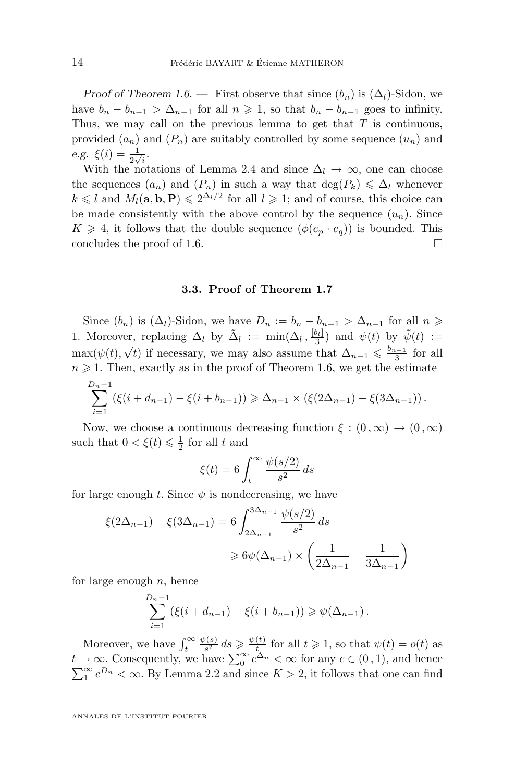*Proof of Theorem [1.6.](#page-4-0)* — First observe that since  $(b_n)$  is  $(\Delta_l)$ -Sidon, we have  $b_n - b_{n-1} > \Delta_{n-1}$  for all  $n \geq 1$ , so that  $b_n - b_{n-1}$  goes to infinity. Thus, we may call on the previous lemma to get that  $T$  is continuous, provided  $(a_n)$  and  $(P_n)$  are suitably controlled by some sequence  $(u_n)$  and *e.g.*  $\xi(i) = \frac{1}{2\sqrt{i}}$ .

With the notations of Lemma [2.4](#page-10-0) and since  $\Delta_l \to \infty$ , one can choose the sequences  $(a_n)$  and  $(P_n)$  in such a way that  $\deg(P_k) \leq \Delta_l$  whenever  $k \leq l$  and  $M_l(\mathbf{a}, \mathbf{b}, \mathbf{P}) \leq 2^{\Delta_l/2}$  for all  $l \geq 1$ ; and of course, this choice can be made consistently with the above control by the sequence  $(u_n)$ . Since  $K \geq 4$ , it follows that the double sequence  $(\phi(e_p \cdot e_q))$  is bounded. This concludes the proof of [1.6.](#page-4-0)

## **3.3. Proof of Theorem [1.7](#page-5-0)**

Since  $(b_n)$  is  $(\Delta_l)$ -Sidon, we have  $D_n := b_n - b_{n-1} > \Delta_{n-1}$  for all  $n \geq$ 1. Moreover, replacing  $\Delta_l$  by  $\tilde{\Delta}_l := \min(\Delta_l, \frac{b_l}{3})$  and  $\psi(t)$  by  $\tilde{\psi}(t) :=$  $\max(\psi(t), \sqrt{t})$  if necessary, we may also assume that  $\Delta_{n-1} \leq \frac{b_{n-1}}{3}$  for all  $n \geq 1$ . Then, exactly as in the proof of Theorem [1.6,](#page-4-0) we get the estimate

$$
\sum_{i=1}^{D_n-1} (\xi(i+d_{n-1}) - \xi(i+b_{n-1})) \geq \Delta_{n-1} \times (\xi(2\Delta_{n-1}) - \xi(3\Delta_{n-1})).
$$

Now, we choose a continuous decreasing function  $\xi : (0, \infty) \to (0, \infty)$ such that  $0 < \xi(t) \leq \frac{1}{2}$  for all t and

$$
\xi(t) = 6 \int_t^{\infty} \frac{\psi(s/2)}{s^2} ds
$$

for large enough t. Since  $\psi$  is nondecreasing, we have

$$
\xi(2\Delta_{n-1}) - \xi(3\Delta_{n-1}) = 6 \int_{2\Delta_{n-1}}^{3\Delta_{n-1}} \frac{\psi(s/2)}{s^2} ds
$$
  

$$
\geq 6\psi(\Delta_{n-1}) \times \left(\frac{1}{2\Delta_{n-1}} - \frac{1}{3\Delta_{n-1}}\right)
$$

for large enough  $n$ , hence

$$
\sum_{i=1}^{D_n-1} (\xi(i + d_{n-1}) - \xi(i + b_{n-1})) \geq \psi(\Delta_{n-1}).
$$

Moreover, we have  $\int_t^\infty$  $\psi(s)$  $\frac{\psi(s)}{s^2} ds \geqslant \frac{\psi(t)}{t}$  $\frac{(t)}{t}$  for all  $t \geq 1$ , so that  $\psi(t) = o(t)$  as  $t \to \infty$ . Consequently, we have  $\sum_{0}^{\infty} c^{\Delta_n} < \infty$  for any  $c \in (0,1)$ , and hence  $\sum_{1}^{\infty} c^{D_n} < \infty$ . By Lemma [2.2](#page-8-0) and since  $K > 2$ , it follows that one can find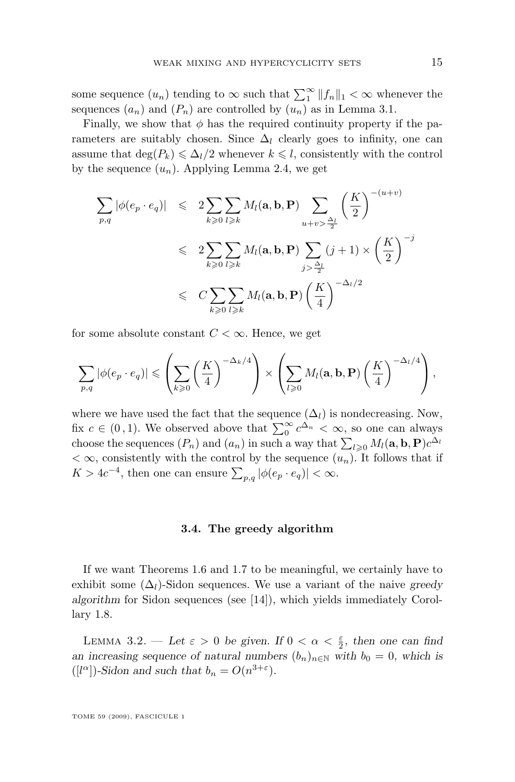<span id="page-15-0"></span>some sequence  $(u_n)$  tending to  $\infty$  such that  $\sum_{1}^{\infty} ||f_n||_1 < \infty$  whenever the sequences  $(a_n)$  and  $(P_n)$  are controlled by  $(u_n)$  as in Lemma [3.1.](#page-13-0)

Finally, we show that  $\phi$  has the required continuity property if the parameters are suitably chosen. Since  $\Delta_l$  clearly goes to infinity, one can assume that  $\deg(P_k) \le \Delta_l/2$  whenever  $k \le l$ , consistently with the control by the sequence  $(u_n)$ . Applying Lemma [2.4,](#page-10-0) we get

$$
\sum_{p,q} |\phi(e_p \cdot e_q)| \leq 2 \sum_{k \geq 0} \sum_{l \geq k} M_l(\mathbf{a}, \mathbf{b}, \mathbf{P}) \sum_{u+v > \frac{\Delta_l}{2}} \left(\frac{K}{2}\right)^{-(u+v)}
$$
  

$$
\leq 2 \sum_{k \geq 0} \sum_{l \geq k} M_l(\mathbf{a}, \mathbf{b}, \mathbf{P}) \sum_{j > \frac{\Delta_l}{2}} (j+1) \times \left(\frac{K}{2}\right)^{-j}
$$
  

$$
\leq C \sum_{k \geq 0} \sum_{l \geq k} M_l(\mathbf{a}, \mathbf{b}, \mathbf{P}) \left(\frac{K}{4}\right)^{-\Delta_l/2}
$$

for some absolute constant  $C < \infty$ . Hence, we get

$$
\sum_{p,q} |\phi(e_p \cdot e_q)| \leqslant \left(\sum_{k\geqslant 0} \left(\frac{K}{4}\right)^{-\Delta_k/4}\right) \times \left(\sum_{l\geqslant 0} M_l(\mathbf{a}, \mathbf{b}, \mathbf{P}) \left(\frac{K}{4}\right)^{-\Delta_l/4}\right),
$$

where we have used the fact that the sequence  $(\Delta_l)$  is nondecreasing. Now, fix  $c \in (0,1)$ . We observed above that  $\sum_{0}^{\infty} c^{\Delta_n} < \infty$ , so one can always choose the sequences  $(P_n)$  and  $(a_n)$  in such a way that  $\sum_{l\geqslant 0} M_l(\mathbf{a}, \mathbf{b}, \mathbf{P}) c^{\Delta_l}$  $<\infty$ , consistently with the control by the sequence  $(u_n)$ . It follows that if  $K > 4c^{-4}$ , then one can ensure  $\sum_{p,q} |\phi(e_p \cdot e_q)| < \infty$ .

## **3.4. The greedy algorithm**

If we want Theorems [1.6](#page-4-0) and [1.7](#page-5-0) to be meaningful, we certainly have to exhibit some  $(\Delta_l)$ -Sidon sequences. We use a variant of the naive *greedy algorithm* for Sidon sequences (see [\[14\]](#page-34-0)), which yields immediately Corollary [1.8.](#page-5-0)

LEMMA 3.2. — Let  $\varepsilon > 0$  be given. If  $0 < \alpha < \frac{\varepsilon}{2}$ , then one can find *an increasing sequence of natural numbers*  $(b_n)_{n \in \mathbb{N}}$  *with*  $b_0 = 0$ *, which is*  $([l^{\alpha}])$ -Sidon and such that  $b_n = O(n^{3+\epsilon})$ .

TOME 59 (2009), FASCICULE 1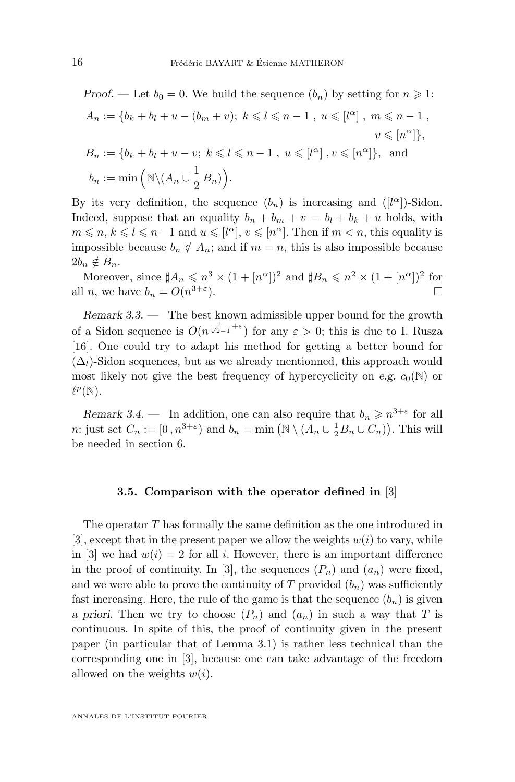<span id="page-16-0"></span>Proof. — Let 
$$
b_0 = 0
$$
. We build the sequence  $(b_n)$  by setting for  $n \ge 1$ :  
\n $A_n := \{b_k + b_l + u - (b_m + v); k \le l \le n - 1, u \le [l^{\alpha}], m \le n - 1, v \le [n^{\alpha}]\},$   
\n $B_n := \{b_k + b_l + u - v; k \le l \le n - 1, u \le [l^{\alpha}], v \le [n^{\alpha}]\},$  and  
\n $b_n := \min \left(\mathbb{N}\setminus (A_n \cup \frac{1}{2} B_n)\right).$ 

By its very definition, the sequence  $(b_n)$  is increasing and  $([l^{\alpha}])$ -Sidon. Indeed, suppose that an equality  $b_n + b_m + v = b_l + b_k + u$  holds, with  $m \leq n, k \leq l \leq n-1$  and  $u \leq l^{\alpha}, v \leq n^{\alpha}$ . Then if  $m < n$ , this equality is impossible because  $b_n \notin A_n$ ; and if  $m = n$ , this is also impossible because  $2b_n \notin B_n$ .

Moreover, since  $sharp A_n \leq n^3 \times (1 + [n^{\alpha}])^2$  and  $sharp B_n \leq n^2 \times (1 + [n^{\alpha}])^2$  for all *n*, we have  $b_n = O(n^{3+\epsilon})$  $\Box$ 

*Remark 3.3. —* The best known admissible upper bound for the growth of a Sidon sequence is  $O(n^{\frac{1}{\sqrt{2}-1}+\varepsilon})$  for any  $\varepsilon > 0$ ; this is due to I. Rusza [\[16\]](#page-35-0). One could try to adapt his method for getting a better bound for  $(\Delta_l)$ -Sidon sequences, but as we already mentionned, this approach would most likely not give the best frequency of hypercyclicity on *e.g.*  $c_0(N)$  or  $\ell^p(\mathbb{N}).$ 

*Remark 3.4.* – In addition, one can also require that  $b_n \geq n^{3+\epsilon}$  for all *n*: just set  $C_n := [0, n^{3+\varepsilon})$  and  $b_n = \min(\mathbb{N} \setminus (A_n \cup \frac{1}{2}B_n \cup C_n))$ . This will be needed in section [6.](#page-25-0)

## **3.5. Comparison with the operator defined in** [\[3\]](#page-34-0)

The operator T has formally the same definition as the one introduced in [\[3\]](#page-34-0), except that in the present paper we allow the weights  $w(i)$  to vary, while in [\[3\]](#page-34-0) we had  $w(i) = 2$  for all i. However, there is an important difference in the proof of continuity. In [\[3\]](#page-34-0), the sequences  $(P_n)$  and  $(a_n)$  were fixed, and we were able to prove the continuity of T provided  $(b_n)$  was sufficiently fast increasing. Here, the rule of the game is that the sequence  $(b_n)$  is given *a priori*. Then we try to choose  $(P_n)$  and  $(a_n)$  in such a way that T is continuous. In spite of this, the proof of continuity given in the present paper (in particular that of Lemma [3.1\)](#page-13-0) is rather less technical than the corresponding one in [\[3\]](#page-34-0), because one can take advantage of the freedom allowed on the weights  $w(i)$ .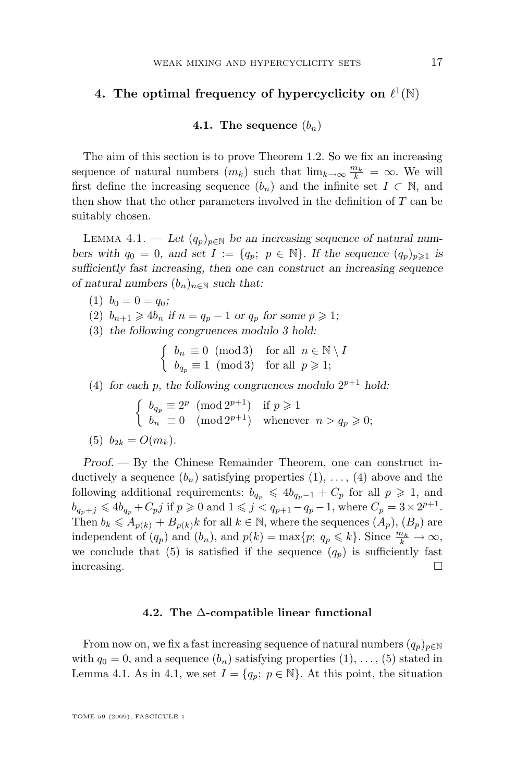## <span id="page-17-0"></span>4. The optimal frequency of hypercyclicity on  $\ell^1(\mathbb{N})$

## **4.1.** The sequence  $(b_n)$

The aim of this section is to prove Theorem [1.2.](#page-3-0) So we fix an increasing sequence of natural numbers  $(m_k)$  such that  $\lim_{k\to\infty} \frac{m_k}{k} = \infty$ . We will first define the increasing sequence  $(b_n)$  and the infinite set  $I \subset \mathbb{N}$ , and then show that the other parameters involved in the definition of  $T$  can be suitably chosen.

LEMMA 4.1. — Let  $(q_p)_{p \in \mathbb{N}}$  be an increasing sequence of natural num*bers with*  $q_0 = 0$ *, and set*  $I := \{q_p; p \in \mathbb{N}\}\$ *. If the sequence*  $(q_p)_{p \geq 1}$  *is sufficiently fast increasing, then one can construct an increasing sequence of natural numbers*  $(b_n)_{n \in \mathbb{N}}$  *such that:* 

- (1)  $b_0 = 0 = q_0;$
- (2)  $b_{n+1} \geqslant 4b_n$  if  $n = q_p 1$  or  $q_p$  for some  $p \geqslant 1$ ;
- (3) *the following congruences modulo 3 hold:*

$$
\begin{cases} b_n \equiv 0 \pmod{3} & \text{for all } n \in \mathbb{N} \setminus I \\ b_{q_p} \equiv 1 \pmod{3} & \text{for all } p \geqslant 1; \end{cases}
$$

(4) for each p, the following congruences modulo  $2^{p+1}$  hold:

$$
\begin{cases}\nb_{q_p} \equiv 2^p \pmod{2^{p+1}} & \text{if } p \geq 1 \\
b_n \equiv 0 \pmod{2^{p+1}} & \text{whenever } n > q_p \geq 0; \n\end{cases}
$$
\n(5)  $b_{2k} = O(m_k)$ .

*Proof. —* By the Chinese Remainder Theorem, one can construct inductively a sequence  $(b_n)$  satisfying properties  $(1), \ldots, (4)$  above and the following additional requirements:  $b_{q_p} \leq 4b_{q_p-1} + C_p$  for all  $p \geq 1$ , and  $b_{q_p+j} \leq 4b_{q_p} + C_p j$  if  $p \geq 0$  and  $1 \leq j < q_{p+1} - q_p - 1$ , where  $C_p = 3 \times 2^{p+1}$ . Then  $b_k \leq A_{p(k)} + B_{p(k)}k$  for all  $k \in \mathbb{N}$ , where the sequences  $(A_p)$ ,  $(B_p)$  are independent of  $(q_p)$  and  $(b_n)$ , and  $p(k) = \max\{p; q_p \leq k\}$ . Since  $\frac{m_k}{k} \to \infty$ , we conclude that (5) is satisfied if the sequence  $(q_p)$  is sufficiently fast  $\Box$ increasing.

## **4.2. The** ∆**-compatible linear functional**

From now on, we fix a fast increasing sequence of natural numbers  $(q_p)_{p\in\mathbb{N}}$ with  $q_0 = 0$ , and a sequence  $(b_n)$  satisfying properties  $(1), \ldots, (5)$  stated in Lemma 4.1. As in 4.1, we set  $I = \{q_p; p \in \mathbb{N}\}\.$  At this point, the situation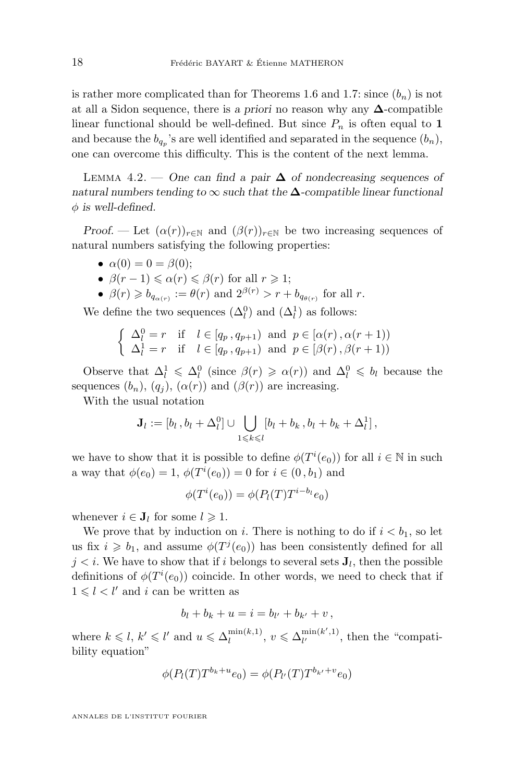<span id="page-18-0"></span>is rather more complicated than for Theorems [1.6](#page-4-0) and [1.7:](#page-5-0) since  $(b_n)$  is not at all a Sidon sequence, there is *a priori* no reason why any ∆-compatible linear functional should be well-defined. But since  $P_n$  is often equal to 1 and because the  $b_{q_p}$ 's are well identified and separated in the sequence  $(b_n)$ , one can overcome this difficulty. This is the content of the next lemma.

Lemma 4.2. — *One can find a pair* ∆ *of nondecreasing sequences of natural numbers tending to* ∞ *such that the* ∆*-compatible linear functional*  $\phi$  is well-defined.

*Proof.* — Let  $(\alpha(r))_{r \in \mathbb{N}}$  and  $(\beta(r))_{r \in \mathbb{N}}$  be two increasing sequences of natural numbers satisfying the following properties:

- $\alpha(0) = 0 = \beta(0);$
- $\beta(r-1) \leq \alpha(r) \leq \beta(r)$  for all  $r \geq 1$ ;
- $\beta(r) \geqslant b_{q_{\alpha(r)}} := \theta(r)$  and  $2^{\beta(r)} > r + b_{q_{\theta(r)}}$  for all r.

We define the two sequences  $(\Delta_l^0)$  and  $(\Delta_l^1)$  as follows:

$$
\begin{cases} \Delta_l^0 = r & \text{if } l \in [q_p, q_{p+1}) \text{ and } p \in [\alpha(r), \alpha(r+1)) \\ \Delta_l^1 = r & \text{if } l \in [q_p, q_{p+1}) \text{ and } p \in [\beta(r), \beta(r+1)) \end{cases}
$$

Observe that  $\Delta_l^1 \leq \Delta_l^0$  (since  $\beta(r) \geq \alpha(r)$ ) and  $\Delta_l^0 \leq b_l$  because the sequences  $(b_n)$ ,  $(q_i)$ ,  $(\alpha(r))$  and  $(\beta(r))$  are increasing.

With the usual notation

$$
\mathbf{J}_l := [b_l, b_l + \Delta_l^0] \cup \bigcup_{1 \leq k \leq l} [b_l + b_k, b_l + b_k + \Delta_l^1],
$$

we have to show that it is possible to define  $\phi(T^i(e_0))$  for all  $i \in \mathbb{N}$  in such a way that  $\phi(e_0) = 1, \, \phi(T^i(e_0)) = 0$  for  $i \in (0, b_1)$  and

$$
\phi(T^i(e_0)) = \phi(P_l(T)T^{i-b_l}e_0)
$$

whenever  $i \in J_l$  for some  $l \geq 1$ .

We prove that by induction on i. There is nothing to do if  $i < b_1$ , so let us fix  $i \geq b_1$ , and assume  $\phi(T^j(e_0))$  has been consistently defined for all  $j < i$ . We have to show that if i belongs to several sets  $J<sub>l</sub>$ , then the possible definitions of  $\phi(T^i(e_0))$  coincide. In other words, we need to check that if  $1 \leq l \leq l'$  and i can be written as

$$
b_l + b_k + u = i = b_{l'} + b_{k'} + v,
$$

where  $k \leq l, k' \leq l'$  and  $u \leq \Delta_l^{\min(k,1)}$  $\binom{\min(k,1)}{l}, v \leqslant \Delta_{l'}^{\min(k',1)}$  $\lim_{l'}$ <sup>mm(k,1)</sup>, then the "compatibility equation"

$$
\phi(P_l(T)T^{b_k+u}e_0) = \phi(P_{l'}(T)T^{b_{k'}+v}e_0)
$$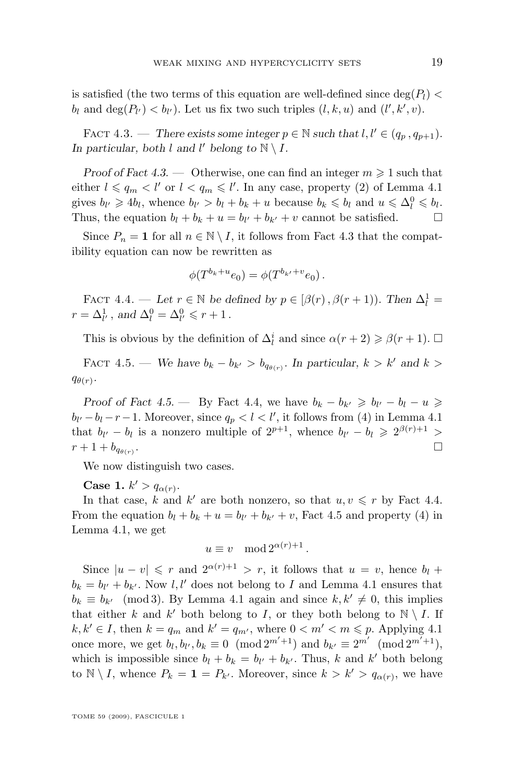<span id="page-19-0"></span>is satisfied (the two terms of this equation are well-defined since  $\deg(P_l)$ )  $b_l$  and  $\deg(P_{l'}) < b_{l'}$ ). Let us fix two such triples  $(l, k, u)$  and  $(l', k', v)$ .

FACT 4.3. — *There exists some integer*  $p \in \mathbb{N}$  *such that*  $l, l' \in (q_n, q_{n+1})$ *.* In particular, both l and l' belong to  $\mathbb{N} \setminus I$ .

*Proof of Fact* 4.3. — Otherwise, one can find an integer  $m \geq 1$  such that either  $l \leqslant q_m < l'$  or  $l < q_m \leqslant l'$ . In any case, property (2) of Lemma [4.1](#page-17-0) gives  $b_{l'} \geq 4b_l$ , whence  $b_{l'} > b_l + b_k + u$  because  $b_k \leq b_l$  and  $u \leq \Delta_l^0 \leq b_l$ . Thus, the equation  $b_l + b_k + u = b_{l'} + b_{k'} + v$  cannot be satisfied.  $\Box$ 

Since  $P_n = \mathbf{1}$  for all  $n \in \mathbb{N} \setminus I$ , it follows from Fact 4.3 that the compatibility equation can now be rewritten as

$$
\phi(T^{b_k+u}e_0) = \phi(T^{b_{k'}+v}e_0).
$$

FACT 4.4. — Let  $r \in \mathbb{N}$  be defined by  $p \in [\beta(r), \beta(r+1))$ . Then  $\Delta_l^1$  =  $r = \Delta_{l'}^1$ , and  $\Delta_l^0 = \Delta_{l'}^0 \leqslant r + 1$ .

This is obvious by the definition of  $\Delta_l^i$  and since  $\alpha(r+2) \geq \beta(r+1)$ .  $\Box$ 

FACT 4.5. — *We have*  $b_k - b_{k'} > b_{q_{\theta(r)}}$ . In particular,  $k > k'$  and  $k >$  $q_{\theta(r)}$ .

*Proof of Fact* 4.5. — By Fact 4.4, we have  $b_k - b_{k'} \geq b_{l'} - b_l - u \geq 0$  $b_{l'}-b_l-r-1$ . Moreover, since  $q_p < l < l'$ , it follows from (4) in Lemma [4.1](#page-17-0) that  $b_{l'} - b_l$  is a nonzero multiple of  $2^{p+1}$ , whence  $b_{l'} - b_l \geq 2^{\beta(r)+1} >$  $r + 1 + b_{q_{\theta(n)}}$ . .

We now distinguish two cases.

**Case 1.**  $k' > q_{\alpha(r)}$ .

In that case, k and k' are both nonzero, so that  $u, v \leq r$  by Fact 4.4. From the equation  $b_l + b_k + u = b_{l'} + b_{k'} + v$ , Fact 4.5 and property (4) in Lemma [4.1,](#page-17-0) we get

$$
u \equiv v \mod 2^{\alpha(r)+1}.
$$

Since  $|u - v| \leq r$  and  $2^{\alpha(r)+1} > r$ , it follows that  $u = v$ , hence  $b_l$  +  $b_k = b_{l'} + b_{k'}$ . Now  $l, l'$  does not belong to I and Lemma [4.1](#page-17-0) ensures that  $b_k \equiv b_{k'} \pmod{3}$ . By Lemma [4.1](#page-17-0) again and since  $k, k' \neq 0$ , this implies that either k and k' both belong to I, or they both belong to  $\mathbb{N} \setminus I$ . If  $k, k' \in I$ , then  $k = q_m$  and  $k' = q_{m'}$ , where  $0 < m' < m \leq p$ . Applying [4.1](#page-17-0) once more, we get  $b_l, b_{l'}, b_k \equiv 0 \pmod{2^{m'+1}}$  and  $b_{k'} \equiv 2^{m'} \pmod{2^{m'+1}}$ , which is impossible since  $b_l + b_k = b_{l'} + b_{k'}$ . Thus, k and k' both belong to  $\mathbb{N} \setminus I$ , whence  $P_k = \mathbf{1} = P_{k'}$ . Moreover, since  $k > k' > q_{\alpha(r)}$ , we have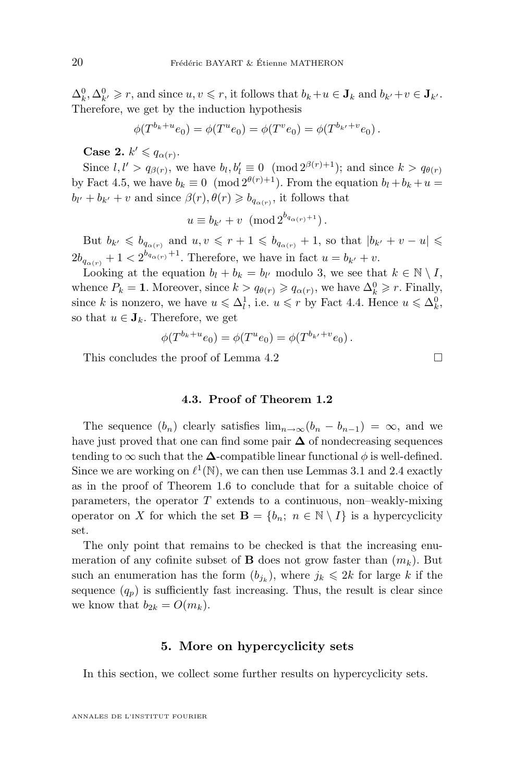<span id="page-20-0"></span> $\Delta_k^0, \Delta_{k'}^0 \geq r$ , and since  $u, v \leq r$ , it follows that  $b_k + u \in J_k$  and  $b_{k'} + v \in J_{k'}$ . Therefore, we get by the induction hypothesis

$$
\phi(T^{b_k+u}e_0) = \phi(T^u e_0) = \phi(T^v e_0) = \phi(T^{b_{k'}+v}e_0).
$$

**Case 2.**  $k' \leqslant q_{\alpha(r)}$ .

Since  $l, l' > q_{\beta(r)}$ , we have  $b_l, b_l' \equiv 0 \pmod{2^{\beta(r)+1}}$ ; and since  $k > q_{\theta(r)}$ by Fact [4.5,](#page-19-0) we have  $b_k \equiv 0 \pmod{2^{\theta(r)+1}}$ . From the equation  $b_l + b_k + u =$  $b_{l'} + b_{k'} + v$  and since  $\beta(r)$ ,  $\theta(r) \geqslant b_{q_{\alpha(r)}}$ , it follows that

$$
u \equiv b_{k'} + v \, (\text{mod } 2^{b_{q_{\alpha(r)}}+1}).
$$

But  $b_{k'} \leqslant b_{q_{\alpha(r)}}$  and  $u, v \leqslant r + 1 \leqslant b_{q_{\alpha(r)}} + 1$ , so that  $|b_{k'} + v - u| \leqslant$  $2b_{q_{\alpha(r)}} + 1 < 2^{b_{q_{\alpha(r)}}+1}$ . Therefore, we have in fact  $u = b_{k'} + v$ .

Looking at the equation  $b_l + b_k = b_{l'}$  modulo 3, we see that  $k \in \mathbb{N} \setminus I$ , whence  $P_k = 1$ . Moreover, since  $k > q_{\theta(r)} \geqslant q_{\alpha(r)}$ , we have  $\Delta_k^0 \geqslant r$ . Finally, since k is nonzero, we have  $u \leq \Delta_l^1$ , i.e.  $u \leq r$  by Fact [4.4.](#page-19-0) Hence  $u \leq \Delta_k^0$ , so that  $u \in J_k$ . Therefore, we get

$$
\phi(T^{b_k+u}e_0) = \phi(T^u e_0) = \phi(T^{b_{k'}+v}e_0).
$$

This concludes the proof of Lemma [4.2](#page-18-0)  $\Box$ 

## **4.3. Proof of Theorem [1.2](#page-3-0)**

The sequence  $(b_n)$  clearly satisfies  $\lim_{n\to\infty}(b_n - b_{n-1}) = \infty$ , and we have just proved that one can find some pair  $\Delta$  of nondecreasing sequences tending to  $\infty$  such that the  $\Delta$ -compatible linear functional  $\phi$  is well-defined. Since we are working on  $\ell^1(\mathbb{N})$ , we can then use Lemmas [3.1](#page-13-0) and [2.4](#page-10-0) exactly as in the proof of Theorem [1.6](#page-4-0) to conclude that for a suitable choice of parameters, the operator  $T$  extends to a continuous, non–weakly-mixing operator on X for which the set  $\mathbf{B} = \{b_n; n \in \mathbb{N} \setminus I\}$  is a hypercyclicity set.

The only point that remains to be checked is that the increasing enumeration of any cofinite subset of **B** does not grow faster than  $(m_k)$ . But such an enumeration has the form  $(b_{j_k})$ , where  $j_k \leq 2k$  for large k if the sequence  $(q_p)$  is sufficiently fast increasing. Thus, the result is clear since we know that  $b_{2k} = O(m_k)$ .

## **5. More on hypercyclicity sets**

In this section, we collect some further results on hypercyclicity sets.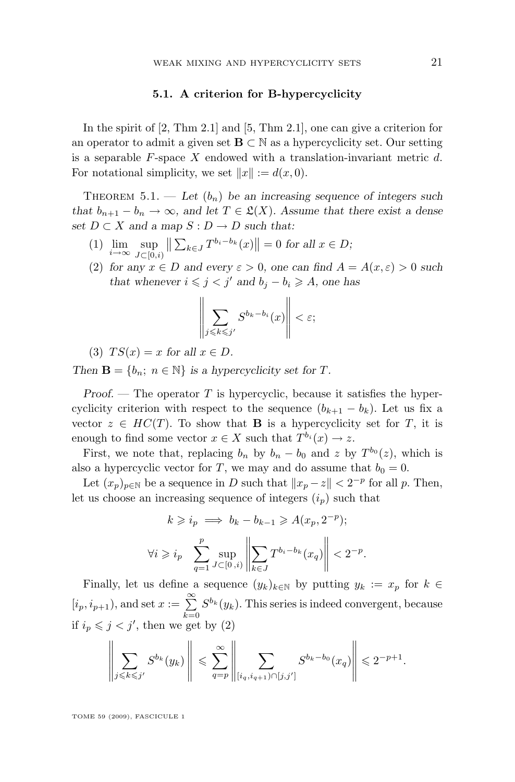## **5.1. A criterion for** B**-hypercyclicity**

<span id="page-21-0"></span>In the spirit of [\[2,](#page-34-0) Thm 2.1] and [\[5,](#page-34-0) Thm 2.1], one can give a criterion for an operator to admit a given set  $\mathbf{B} \subset \mathbb{N}$  as a hypercyclicity set. Our setting is a separable  $F$ -space  $X$  endowed with a translation-invariant metric  $d$ . For notational simplicity, we set  $||x|| := d(x, 0)$ .

THEOREM  $5.1.$  — Let  $(b_n)$  be an increasing sequence of integers such *that*  $b_{n+1} - b_n \to \infty$ *, and let*  $T \in \mathcal{L}(X)$ *. Assume that there exist a dense set*  $D \subset X$  *and a map*  $S : D \to D$  *such that:* 

- (1)  $\lim_{i \to \infty} \sup_{J \subset [0,]}$  $J\subset [0,i)$  $\left\| \sum_{k \in J} T^{b_i - b_k}(x) \right\| = 0$  for all  $x \in D$ ;
- (2) for any  $x \in D$  and every  $\varepsilon > 0$ , one can find  $A = A(x, \varepsilon) > 0$  such *that whenever*  $i \leq j < j'$  *and*  $b_j - b_i \geq A$ *, one has*

$$
\left\|\sum_{j\leqslant k\leqslant j'}S^{b_k-b_i}(x)\right\|<\varepsilon;
$$

(3)  $TS(x) = x$  for all  $x \in D$ .

*Then*  $\mathbf{B} = \{b_n; n \in \mathbb{N}\}\$ is a hypercyclicity set for T.

*Proof.* — The operator T is hypercyclic, because it satisfies the hypercyclicity criterion with respect to the sequence  $(b_{k+1} - b_k)$ . Let us fix a vector  $z \in HC(T)$ . To show that **B** is a hypercyclicity set for T, it is enough to find some vector  $x \in X$  such that  $T^{b_i}(x) \to z$ .

First, we note that, replacing  $b_n$  by  $b_n - b_0$  and z by  $T^{b_0}(z)$ , which is also a hypercyclic vector for T, we may and do assume that  $b_0 = 0$ .

Let  $(x_p)_{p \in \mathbb{N}}$  be a sequence in D such that  $||x_p - z|| < 2^{-p}$  for all p. Then, let us choose an increasing sequence of integers  $(i_p)$  such that

$$
k \geqslant i_p \implies b_k - b_{k-1} \geqslant A(x_p, 2^{-p});
$$
  

$$
\forall i \geqslant i_p \sum_{q=1}^p \sup_{J \subset [0, i)} \left\| \sum_{k \in J} T^{b_i - b_k}(x_q) \right\| < 2^{-p}
$$

.

Finally, let us define a sequence  $(y_k)_{k\in\mathbb{N}}$  by putting  $y_k := x_p$  for  $k \in$  $[i_p, i_{p+1}),$  and set  $x := \sum_{k=0}^{\infty}$  $S^{b_k}(y_k)$ . This series is indeed convergent, because if  $i_p \leqslant j < j'$ , then we get by (2)

$$
\left\|\sum_{j\leqslant k\leqslant j'}S^{b_k}(y_k)\right\|\leqslant \sum_{q=p}^{\infty}\left\|\sum_{[i_q,i_{q+1})\cap[j,j']}S^{b_k-b_0}(x_q)\right\|\leqslant 2^{-p+1}.
$$

TOME 59 (2009), FASCICULE 1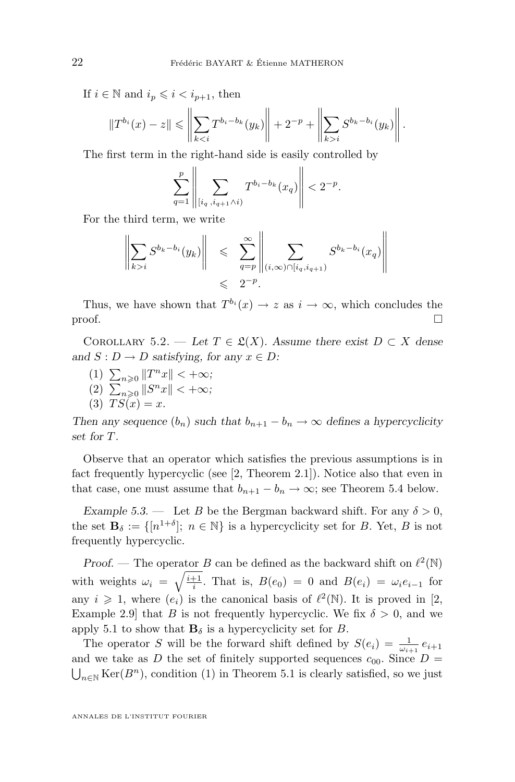<span id="page-22-0"></span>If  $i \in \mathbb{N}$  and  $i_p \leqslant i < i_{p+1}$ , then

$$
||T^{b_i}(x) - z|| \leq \left\| \sum_{k < i} T^{b_i - b_k}(y_k) \right\| + 2^{-p} + \left\| \sum_{k > i} S^{b_k - b_i}(y_k) \right\|.
$$

The first term in the right-hand side is easily controlled by

$$
\sum_{q=1}^{p} \left\| \sum_{[i_q \,, i_{q+1} \wedge i)} T^{b_i - b_k}(x_q) \right\| < 2^{-p}.
$$

For the third term, we write

$$
\left\| \sum_{k>i} S^{b_k - b_i}(y_k) \right\| \leqslant \sum_{q=p}^{\infty} \left\| \sum_{(i,\infty) \cap [i_q, i_{q+1})} S^{b_k - b_i}(x_q) \right\|
$$
  
 $\leqslant 2^{-p}.$ 

Thus, we have shown that  $T^{b_i}(x) \to z$  as  $i \to \infty$ , which concludes the  $\Box$ 

COROLLARY 5.2. — Let  $T \in \mathcal{L}(X)$ . Assume there exist  $D \subset X$  dense and  $S: D \to D$  *satisfying, for any*  $x \in D$ *:* 

- (1)  $\sum_{n\geqslant 0} ||T^n x|| < +\infty;$ (2)  $\sum_{n\geqslant 0} ||S^n x|| < +\infty;$
- (3)  $TS(x) = x$ .

*Then any sequence*  $(b_n)$  *such that*  $b_{n+1} - b_n \to \infty$  *defines a hypercyclicity set for* T*.*

Observe that an operator which satisfies the previous assumptions is in fact frequently hypercyclic (see [\[2,](#page-34-0) Theorem 2.1]). Notice also that even in that case, one must assume that  $b_{n+1} - b_n \to \infty$ ; see Theorem [5.4](#page-23-0) below.

*Example 5.3.* — Let B be the Bergman backward shift. For any  $\delta > 0$ , the set  $\mathbf{B}_{\delta} := \{ [n^{1+\delta}] ; n \in \mathbb{N} \}$  is a hypercyclicity set for B. Yet, B is not frequently hypercyclic.

*Proof.* – The operator *B* can be defined as the backward shift on  $\ell^2(\mathbb{N})$ with weights  $\omega_i = \sqrt{\frac{i+1}{i}}$ . That is,  $B(e_0) = 0$  and  $B(e_i) = \omega_i e_{i-1}$  for any  $i \geqslant 1$ , where  $(e_i)$  is the canonical basis of  $\ell^2(\mathbb{N})$ . It is proved in [\[2,](#page-34-0) Example 2.9 that B is not frequently hypercyclic. We fix  $\delta > 0$ , and we apply [5.1](#page-21-0) to show that  $\mathbf{B}_{\delta}$  is a hypercyclicity set for B.

The operator S will be the forward shift defined by  $S(e_i) = \frac{1}{\omega_{i+1}} e_{i+1}$ and we take as D the set of finitely supported sequences  $c_{00}$ . Since  $D =$  $\bigcup_{n\in\mathbb{N}}\text{Ker}(B^n)$ , condition (1) in Theorem [5.1](#page-21-0) is clearly satisfied, so we just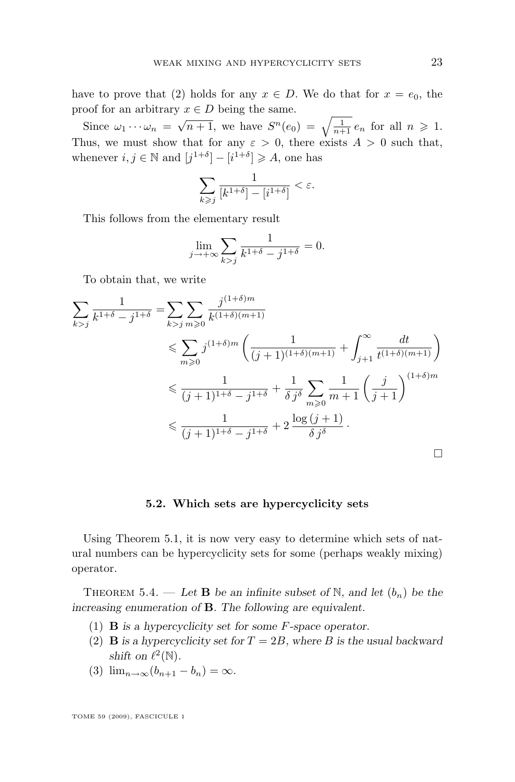<span id="page-23-0"></span>have to prove that (2) holds for any  $x \in D$ . We do that for  $x = e_0$ , the proof for an arbitrary  $x \in D$  being the same.

Since  $\omega_1 \cdots \omega_n = \sqrt{n+1}$ , we have  $S^n(e_0) = \sqrt{\frac{1}{n+1}} e_n$  for all  $n \ge 1$ . Thus, we must show that for any  $\varepsilon > 0$ , there exists  $A > 0$  such that, whenever  $i, j \in \mathbb{N}$  and  $[j^{1+\delta}] - [i^{1+\delta}] \geq A$ , one has

$$
\sum_{k \geq j} \frac{1}{[k^{1+\delta}] - [i^{1+\delta}]} < \varepsilon.
$$

This follows from the elementary result

$$
\lim_{j \to +\infty} \sum_{k > j} \frac{1}{k^{1+\delta} - j^{1+\delta}} = 0.
$$

To obtain that, we write

$$
\sum_{k>j} \frac{1}{k^{1+\delta} - j^{1+\delta}} = \sum_{k>j} \sum_{m \ge 0} \frac{j^{(1+\delta)m}}{k^{(1+\delta)(m+1)}}
$$
  
\n
$$
\le \sum_{m \ge 0} j^{(1+\delta)m} \left( \frac{1}{(j+1)^{(1+\delta)(m+1)}} + \int_{j+1}^{\infty} \frac{dt}{t^{(1+\delta)(m+1)}} \right)
$$
  
\n
$$
\le \frac{1}{(j+1)^{1+\delta} - j^{1+\delta}} + \frac{1}{\delta j^{\delta}} \sum_{m \ge 0} \frac{1}{m+1} \left( \frac{j}{j+1} \right)^{(1+\delta)m}
$$
  
\n
$$
\le \frac{1}{(j+1)^{1+\delta} - j^{1+\delta}} + 2 \frac{\log (j+1)}{\delta j^{\delta}}.
$$

## **5.2. Which sets are hypercyclicity sets**

Using Theorem [5.1,](#page-21-0) it is now very easy to determine which sets of natural numbers can be hypercyclicity sets for some (perhaps weakly mixing) operator.

THEOREM 5.4. — Let **B** be an infinite subset of N, and let  $(b_n)$  be the *increasing enumeration of* B*. The following are equivalent.*

- (1) B *is a hypercyclicity set for some* F*-space operator.*
- (2) **B** is a hypercyclicity set for  $T = 2B$ , where B is the usual backward *shift* on  $\ell^2(\mathbb{N})$ *.*
- (3)  $\lim_{n \to \infty} (b_{n+1} b_n) = \infty$ *.*

TOME 59 (2009), FASCICULE 1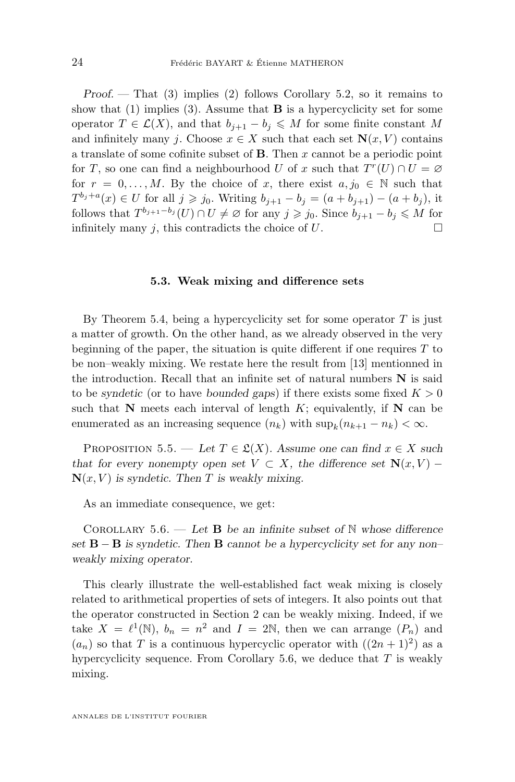<span id="page-24-0"></span>*Proof. —* That (3) implies (2) follows Corollary [5.2,](#page-22-0) so it remains to show that  $(1)$  implies  $(3)$ . Assume that **B** is a hypercyclicity set for some operator  $T \in \mathcal{L}(X)$ , and that  $b_{j+1} - b_j \leqslant M$  for some finite constant M and infinitely many j. Choose  $x \in X$  such that each set  $\mathbf{N}(x, V)$  contains a translate of some cofinite subset of  $\bf{B}$ . Then x cannot be a periodic point for T, so one can find a neighbourhood U of x such that  $T<sup>r</sup>(U) \cap U = \emptyset$ for  $r = 0, \ldots, M$ . By the choice of x, there exist  $a, j_0 \in \mathbb{N}$  such that  $T^{b_j+a}(x) \in U$  for all  $j \geq j_0$ . Writing  $b_{j+1} - b_j = (a+b_{j+1}) - (a+b_j)$ , it follows that  $T^{b_{j+1}-b_j}(U) \cap U \neq \emptyset$  for any  $j \geq j_0$ . Since  $b_{j+1}-b_j \leqslant M$  for infinitely many j, this contradicts the choice of  $U$ .

#### **5.3. Weak mixing and difference sets**

By Theorem [5.4,](#page-23-0) being a hypercyclicity set for some operator  $T$  is just a matter of growth. On the other hand, as we already observed in the very beginning of the paper, the situation is quite different if one requires  $T$  to be non–weakly mixing. We restate here the result from [\[13\]](#page-34-0) mentionned in the introduction. Recall that an infinite set of natural numbers N is said to be *syndetic* (or to have *bounded gaps*) if there exists some fixed  $K > 0$ such that  $N$  meets each interval of length  $K$ ; equivalently, if  $N$  can be enumerated as an increasing sequence  $(n_k)$  with  $\sup_k(n_{k+1} - n_k) < \infty$ .

PROPOSITION 5.5. — Let  $T \in \mathfrak{L}(X)$ . Assume one can find  $x \in X$  such *that for every nonempty open set*  $V \subset X$ *, the difference set*  $N(x, V)$  –  $N(x, V)$  *is syndetic. Then T is weakly mixing.* 

As an immediate consequence, we get:

Corollary 5.6. — *Let* B *be an infinite subset of* N *whose difference set* B − B *is syndetic. Then* B *cannot be a hypercyclicity set for any non– weakly mixing operator.*

This clearly illustrate the well-established fact weak mixing is closely related to arithmetical properties of sets of integers. It also points out that the operator constructed in Section [2](#page-6-0) can be weakly mixing. Indeed, if we take  $X = \ell^1(\mathbb{N})$ ,  $b_n = n^2$  and  $I = 2\mathbb{N}$ , then we can arrange  $(P_n)$  and  $(a_n)$  so that T is a continuous hypercyclic operator with  $((2n+1)^2)$  as a hypercyclicity sequence. From Corollary 5.6, we deduce that  $T$  is weakly mixing.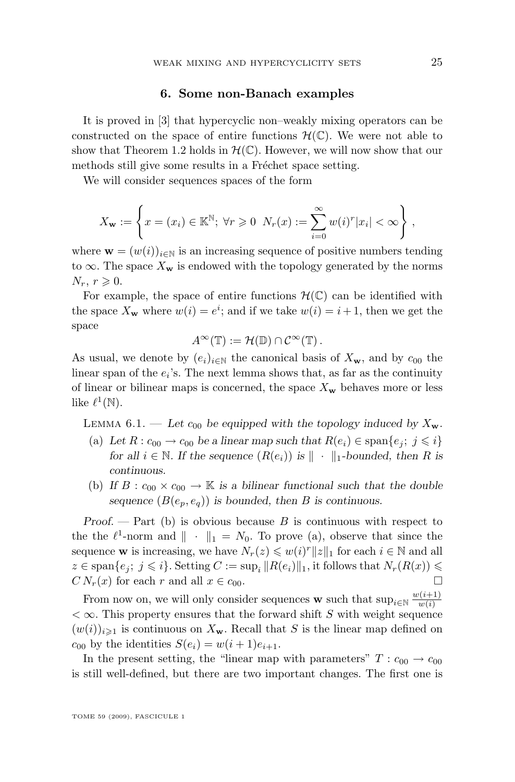## **6. Some non-Banach examples**

<span id="page-25-0"></span>It is proved in [\[3\]](#page-34-0) that hypercyclic non–weakly mixing operators can be constructed on the space of entire functions  $\mathcal{H}(\mathbb{C})$ . We were not able to show that Theorem [1.2](#page-3-0) holds in  $\mathcal{H}(\mathbb{C})$ . However, we will now show that our methods still give some results in a Fréchet space setting.

We will consider sequences spaces of the form

$$
X_{\mathbf{w}} := \left\{ x = (x_i) \in \mathbb{K}^{\mathbb{N}}; \ \forall r \geq 0 \ \ N_r(x) := \sum_{i=0}^{\infty} w(i)^r |x_i| < \infty \right\},\
$$

where  $\mathbf{w} = (w(i))_{i \in \mathbb{N}}$  is an increasing sequence of positive numbers tending to  $\infty$ . The space  $X_{\mathbf{w}}$  is endowed with the topology generated by the norms  $N_r, r \geqslant 0.$ 

For example, the space of entire functions  $\mathcal{H}(\mathbb{C})$  can be identified with the space  $X_{\mathbf{w}}$  where  $w(i) = e^i$ ; and if we take  $w(i) = i + 1$ , then we get the space

$$
A^{\infty}(\mathbb{T}) := \mathcal{H}(\mathbb{D}) \cap \mathcal{C}^{\infty}(\mathbb{T}).
$$

As usual, we denote by  $(e_i)_{i\in\mathbb{N}}$  the canonical basis of  $X_w$ , and by  $c_{00}$  the linear span of the  $e_i$ 's. The next lemma shows that, as far as the continuity of linear or bilinear maps is concerned, the space  $X_w$  behaves more or less like  $\ell^1(\mathbb{N})$ .

LEMMA  $6.1.$  — Let  $c_{00}$  be equipped with the topology induced by  $X_{\mathbf{w}}$ .

- (a) Let  $R: c_{00} \to c_{00}$  be a linear map such that  $R(e_i) \in \text{span}\{e_i; j \leq i\}$ *for all*  $i \in \mathbb{N}$ *. If the sequence*  $(R(e_i))$  *is*  $\|\cdot\|_1$ -bounded, then R is *continuous.*
- (b) If  $B: c_{00} \times c_{00} \to \mathbb{K}$  is a bilinear functional such that the double sequence  $(B(e_n, e_q))$  *is bounded, then B is continuous.*

*Proof.* — Part (b) is obvious because B is continuous with respect to the the  $\ell^1$ -norm and  $\|\cdot\|_1 = N_0$ . To prove (a), observe that since the sequence **w** is increasing, we have  $N_r(z) \leq w(i)^r ||z||_1$  for each  $i \in \mathbb{N}$  and all  $z \in \text{span}\{e_j; j \leqslant i\}$ . Setting  $C := \sup_i ||R(e_i)||_1$ , it follows that  $N_r(R(x)) \leqslant$  $CN_r(x)$  for each r and all  $x \in c_{00}$ .

From now on, we will only consider sequences **w** such that  $\sup_{i \in \mathbb{N}} \frac{w(i+1)}{w(i)}$  $w(i)$  $<\infty$ . This property ensures that the forward shift S with weight sequence  $(w(i))_{i\geqslant 1}$  is continuous on  $X_{\mathbf{w}}$ . Recall that S is the linear map defined on  $c_{00}$  by the identities  $S(e_i) = w(i+1)e_{i+1}$ .

In the present setting, the "linear map with parameters"  $T: c_{00} \rightarrow c_{00}$ is still well-defined, but there are two important changes. The first one is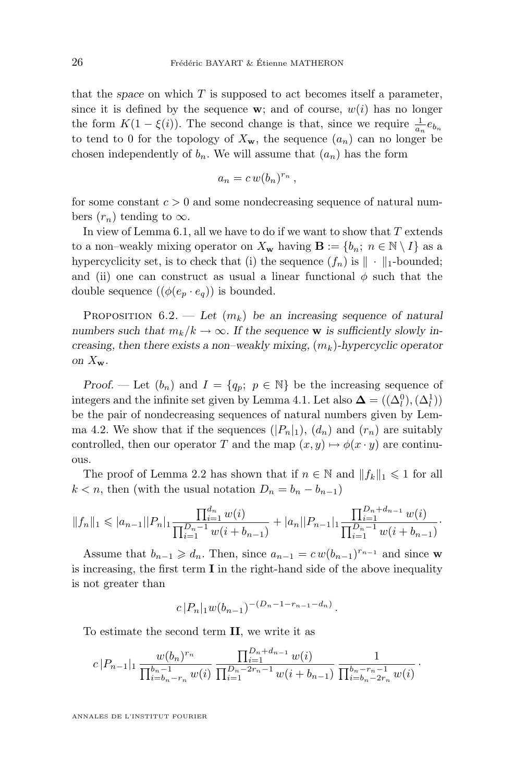<span id="page-26-0"></span>that the *space* on which T is supposed to act becomes itself a parameter, since it is defined by the sequence w; and of course,  $w(i)$  has no longer the form  $K(1 - \xi(i))$ . The second change is that, since we require  $\frac{1}{a_n}e_{b_n}$ to tend to 0 for the topology of  $X_w$ , the sequence  $(a_n)$  can no longer be chosen independently of  $b_n$ . We will assume that  $(a_n)$  has the form

$$
a_n = c w (b_n)^{r_n},
$$

for some constant  $c > 0$  and some nondecreasing sequence of natural numbers  $(r_n)$  tending to  $\infty$ .

In view of Lemma [6.1,](#page-25-0) all we have to do if we want to show that  $T$  extends to a non–weakly mixing operator on  $X_{\mathbf{w}}$  having  $\mathbf{B} := \{b_n; n \in \mathbb{N} \setminus I\}$  as a hypercyclicity set, is to check that (i) the sequence  $(f_n)$  is  $\|\cdot\|_1$ -bounded; and (ii) one can construct as usual a linear functional  $\phi$  such that the double sequence  $((\phi(e_p \cdot e_q))$  is bounded.

PROPOSITION  $6.2$ . — Let  $(m_k)$  be an increasing sequence of natural *numbers such that*  $m_k/k \to \infty$ . If the sequence **w** is sufficiently slowly in*creasing, then there exists a non–weakly mixing,*  $(m_k)$ -hypercyclic operator *on*  $X_{\mathbf{w}}$ *.* 

*Proof.* — Let  $(b_n)$  and  $I = \{q_p; p \in \mathbb{N}\}\$ be the increasing sequence of integers and the infinite set given by Lemma [4.1.](#page-17-0) Let also  $\mathbf{\Delta} = ((\Delta_l^0), (\Delta_l^1))$ be the pair of nondecreasing sequences of natural numbers given by Lem-ma [4.2.](#page-18-0) We show that if the sequences  $(|P_n|_1)$ ,  $(d_n)$  and  $(r_n)$  are suitably controlled, then our operator T and the map  $(x, y) \mapsto \phi(x \cdot y)$  are continuous.

The proof of Lemma [2.2](#page-8-0) has shown that if  $n \in \mathbb{N}$  and  $||f_k||_1 \leq 1$  for all  $k < n$ , then (with the usual notation  $D_n = b_n - b_{n-1}$ )

$$
||f_n||_1 \leqslant |a_{n-1}||P_n|_1 \frac{\prod_{i=1}^{d_n} w(i)}{\prod_{i=1}^{D_n-1} w(i+b_{n-1})} + |a_n||P_{n-1}|_1 \frac{\prod_{i=1}^{D_n+d_{n-1}} w(i)}{\prod_{i=1}^{D_n-1} w(i+b_{n-1})}.
$$

Assume that  $b_{n-1} \geqslant d_n$ . Then, since  $a_{n-1} = c w (b_{n-1})^{r_{n-1}}$  and since w is increasing, the first term I in the right-hand side of the above inequality is not greater than

$$
c |P_n|_1 w(b_{n-1})^{-(D_n-1-r_{n-1}-d_n)}.
$$

To estimate the second term II, we write it as

$$
c|P_{n-1}|_1 \frac{w(b_n)^{r_n}}{\prod_{i=b_n-r_n}^{b_n-1}w(i)} \frac{\prod_{i=1}^{D_n+d_{n-1}}w(i)}{\prod_{i=1}^{D_n-2r_n-1}w(i+b_{n-1})} \frac{1}{\prod_{i=b_n-2r_n}^{b_n-r_n-1}w(i)}.
$$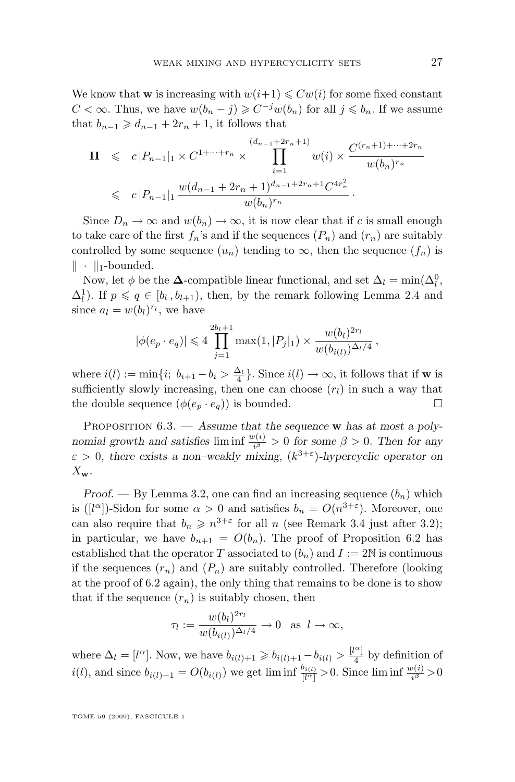We know that **w** is increasing with  $w(i+1) \leq Cw(i)$  for some fixed constant  $C < \infty$ . Thus, we have  $w(b_n - j) \geqslant C^{-j}w(b_n)$  for all  $j \leqslant b_n$ . If we assume that  $b_{n-1} \geq d_{n-1} + 2r_n + 1$ , it follows that

$$
\mathbf{II} \leqslant c |P_{n-1}|_1 \times C^{1+\cdots+r_n} \times \prod_{i=1}^{(d_{n-1}+2r_n+1)} w(i) \times \frac{C^{(r_n+1)+\cdots+2r_n}}{w(b_n)^{r_n}}
$$
\n
$$
\leqslant c |P_{n-1}|_1 \frac{w(d_{n-1}+2r_n+1)^{d_{n-1}+2r_n+1}C^{4r_n^2}}{w(b_n)^{r_n}}.
$$

Since  $D_n \to \infty$  and  $w(b_n) \to \infty$ , it is now clear that if c is small enough to take care of the first  $f_n$ 's and if the sequences  $(P_n)$  and  $(r_n)$  are suitably controlled by some sequence  $(u_n)$  tending to  $\infty$ , then the sequence  $(f_n)$  is  $\|\cdot\|_1$ -bounded.

Now, let  $\phi$  be the  $\Delta$ -compatible linear functional, and set  $\Delta_l = \min(\Delta_l^0, \Delta_l)$  $\Delta_l^1$ ). If  $p \leqslant q \in [b_l, b_{l+1})$ , then, by the remark following Lemma [2.4](#page-10-0) and since  $a_l = w(b_l)^{r_l}$ , we have

$$
|\phi(e_p \cdot e_q)| \leq 4 \prod_{j=1}^{2b_l+1} \max(1, |P_j|_1) \times \frac{w(b_l)^{2r_l}}{w(b_{i(l)})^{\Delta_l/4}},
$$

where  $i(l) := \min\{i; b_{i+1} - b_i > \frac{\Delta_l}{4}\}\.$  Since  $i(l) \to \infty$ , it follows that if **w** is sufficiently slowly increasing, then one can choose  $(r_l)$  in such a way that the double sequence  $(\phi(e_n \cdot e_q))$  is bounded.

Proposition 6.3. — *Assume that the sequence* w *has at most a polynomial growth and satisfies* liminf  $\frac{w(i)}{i^{\beta}} > 0$  for some  $\beta > 0$ . Then for any  $\varepsilon > 0$ , there exists a non-weakly mixing,  $(k^{3+\varepsilon})$ -hypercyclic operator on  $X_{\mathbf{w}}$ .

*Proof.* — By Lemma [3.2,](#page-15-0) one can find an increasing sequence  $(b_n)$  which is ([l<sup> $\alpha$ </sup>])-Sidon for some  $\alpha > 0$  and satisfies  $b_n = O(n^{3+\epsilon})$ . Moreover, one can also require that  $b_n \geq n^{3+\epsilon}$  for all n (see Remark [3.4](#page-16-0) just after [3.2\)](#page-15-0); in particular, we have  $b_{n+1} = O(b_n)$ . The proof of Proposition [6.2](#page-26-0) has established that the operator T associated to  $(b_n)$  and  $I := 2N$  is continuous if the sequences  $(r_n)$  and  $(P_n)$  are suitably controlled. Therefore (looking at the proof of [6.2](#page-26-0) again), the only thing that remains to be done is to show that if the sequence  $(r_n)$  is suitably chosen, then

$$
\tau_l := \frac{w(b_l)^{2r_l}}{w(b_{i(l)})^{\Delta_l/4}} \to 0 \text{ as } l \to \infty,
$$

where  $\Delta_l = [l^{\alpha}]$ . Now, we have  $b_{i(l)+1} \geq b_{i(l)+1} - b_{i(l)} > \frac{|l^{\alpha}|}{4}$  $\frac{1}{4}$  by definition of  $i(l)$ , and since  $b_{i(l)+1} = O(b_{i(l)})$  we get liminf  $\frac{b_{i(l)}}{[l^{\alpha}]}>0$ . Since liminf  $\frac{w(i)}{i^{\beta}}>0$ 

TOME 59 (2009), FASCICULE 1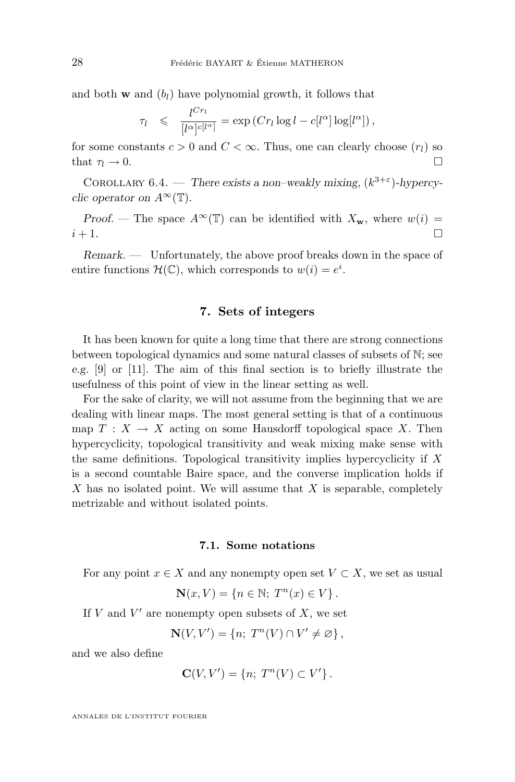<span id="page-28-0"></span>and both **w** and  $(b_l)$  have polynomial growth, it follows that

$$
\tau_l \leqslant \frac{l^{Cr_l}}{[l^{\alpha}]^{c[l^{\alpha}]}} = \exp\left(Cr_l\log l - c[l^{\alpha}]\log[l^{\alpha}]\right),
$$

for some constants  $c > 0$  and  $C < \infty$ . Thus, one can clearly choose  $(r_l)$  so that  $\tau_l \to 0$ .

COROLLARY  $6.4.$  — *There exists a non–weakly mixing,*  $(k^{3+\epsilon})$ -hypercy*clic operator on*  $A^{\infty}(\mathbb{T})$ *.* 

*Proof.* — The space  $A^{\infty}(\mathbb{T})$  can be identified with  $X_{\mathbf{w}}$ , where  $w(i)$  =  $i+1$ .

*Remark. —* Unfortunately, the above proof breaks down in the space of entire functions  $\mathcal{H}(\mathbb{C})$ , which corresponds to  $w(i) = e^i$ .

## **7. Sets of integers**

It has been known for quite a long time that there are strong connections between topological dynamics and some natural classes of subsets of N; see *e.g.* [\[9\]](#page-34-0) or [\[11\]](#page-34-0). The aim of this final section is to briefly illustrate the usefulness of this point of view in the linear setting as well.

For the sake of clarity, we will not assume from the beginning that we are dealing with linear maps. The most general setting is that of a continuous map  $T : X \to X$  acting on some Hausdorff topological space X. Then hypercyclicity, topological transitivity and weak mixing make sense with the same definitions. Topological transitivity implies hypercyclicity if X is a second countable Baire space, and the converse implication holds if  $X$  has no isolated point. We will assume that  $X$  is separable, completely metrizable and without isolated points.

## **7.1. Some notations**

For any point  $x \in X$  and any nonempty open set  $V \subset X$ , we set as usual

$$
\mathbf{N}(x,V) = \{ n \in \mathbb{N};\ T^n(x) \in V \}.
$$

If  $V$  and  $V'$  are nonempty open subsets of  $X$ , we set

$$
\mathbf{N}(V, V') = \{n; T^{n}(V) \cap V' \neq \varnothing\},\
$$

and we also define

$$
\mathbf{C}(V,V') = \{n; T^n(V) \subset V'\}.
$$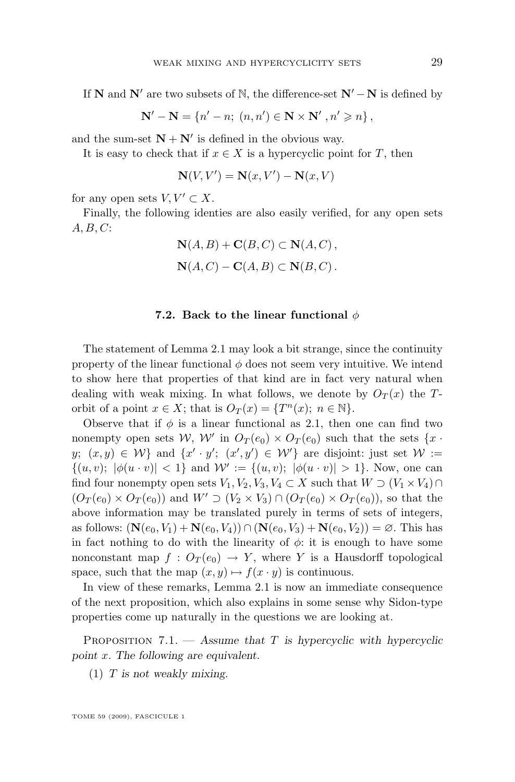If N and N' are two subsets of N, the difference-set  $N' - N$  is defined by

$$
\mathbf{N}' - \mathbf{N} = \{n' - n; (n, n') \in \mathbf{N} \times \mathbf{N}' , n' \geqslant n\},\
$$

and the sum-set  $N + N'$  is defined in the obvious way.

It is easy to check that if  $x \in X$  is a hypercyclic point for T, then

$$
\mathbf{N}(V, V') = \mathbf{N}(x, V') - \mathbf{N}(x, V)
$$

for any open sets  $V, V' \subset X$ .

Finally, the following identies are also easily verified, for any open sets  $A, B, C$ :

$$
\mathbf{N}(A,B) + \mathbf{C}(B,C) \subset \mathbf{N}(A,C),
$$
  

$$
\mathbf{N}(A,C) - \mathbf{C}(A,B) \subset \mathbf{N}(B,C).
$$

## **7.2. Back to the linear functional** φ

The statement of Lemma [2.1](#page-6-0) may look a bit strange, since the continuity property of the linear functional  $\phi$  does not seem very intuitive. We intend to show here that properties of that kind are in fact very natural when dealing with weak mixing. In what follows, we denote by  $O_T(x)$  the Torbit of a point  $x \in X$ ; that is  $O_T(x) = \{T^n(x); n \in \mathbb{N}\}.$ 

Observe that if  $\phi$  is a linear functional as [2.1,](#page-6-0) then one can find two nonempty open sets W, W' in  $O_T(e_0) \times O_T(e_0)$  such that the sets  $\{x \cdot \mathcal{C}_T(e_0)\}$  $y; (x, y) \in W$  and  $\{x' \cdot y'; (x', y') \in W'\}$  are disjoint: just set  $W :=$  $\{(u, v); |\phi(u \cdot v)| < 1\}$  and  $\mathcal{W}' := \{(u, v); |\phi(u \cdot v)| > 1\}$ . Now, one can find four nonempty open sets  $V_1, V_2, V_3, V_4 \subset X$  such that  $W \supset (V_1 \times V_4) \cap$  $(O_T(e_0) \times O_T(e_0))$  and  $W' \supset (V_2 \times V_3) \cap (O_T(e_0) \times O_T(e_0))$ , so that the above information may be translated purely in terms of sets of integers, as follows:  $(N(e_0, V_1) + N(e_0, V_4)) \cap (N(e_0, V_3) + N(e_0, V_2)) = \emptyset$ . This has in fact nothing to do with the linearity of  $\phi$ : it is enough to have some nonconstant map  $f: O_T(e_0) \to Y$ , where Y is a Hausdorff topological space, such that the map  $(x, y) \mapsto f(x \cdot y)$  is continuous.

In view of these remarks, Lemma [2.1](#page-6-0) is now an immediate consequence of the next proposition, which also explains in some sense why Sidon-type properties come up naturally in the questions we are looking at.

PROPOSITION 7.1. — Assume that T is hypercyclic with hypercyclic *point* x*. The following are equivalent.*

(1) T *is not weakly mixing.*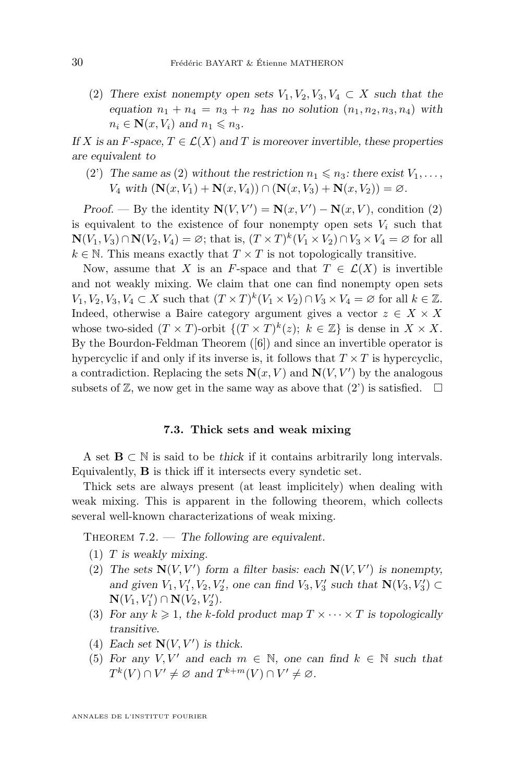<span id="page-30-0"></span>(2) There exist nonempty open sets  $V_1, V_2, V_3, V_4 \subset X$  such that the *equation*  $n_1 + n_4 = n_3 + n_2$  *has no solution*  $(n_1, n_2, n_3, n_4)$  *with*  $n_i \in \mathbf{N}(x, V_i)$  and  $n_1 \leq n_3$ .

*If* X is an F-space,  $T \in \mathcal{L}(X)$  and T is moreover invertible, these properties *are equivalent to*

(2) The same as (2) without the restriction  $n_1 \leq n_3$ : there exist  $V_1, \ldots$ ,  $V_4$  with  $(N(x, V_1) + N(x, V_4)) \cap (N(x, V_3) + N(x, V_2)) = \emptyset$ .

*Proof.* — By the identity  $N(V, V') = N(x, V') - N(x, V)$ , condition (2) is equivalent to the existence of four nonempty open sets  $V_i$  such that  $\mathbf{N}(V_1, V_3) \cap \mathbf{N}(V_2, V_4) = \varnothing$ ; that is,  $(T \times T)^k (V_1 \times V_2) \cap V_3 \times V_4 = \varnothing$  for all  $k \in \mathbb{N}$ . This means exactly that  $T \times T$  is not topologically transitive.

Now, assume that X is an F-space and that  $T \in \mathcal{L}(X)$  is invertible and not weakly mixing. We claim that one can find nonempty open sets  $V_1, V_2, V_3, V_4 \subset X$  such that  $(T \times T)^k (V_1 \times V_2) \cap V_3 \times V_4 = \emptyset$  for all  $k \in \mathbb{Z}$ . Indeed, otherwise a Baire category argument gives a vector  $z \in X \times X$ whose two-sided  $(T \times T)$ -orbit  $\{(T \times T)^k(z); k \in \mathbb{Z}\}\$ is dense in  $X \times X$ . By the Bourdon-Feldman Theorem ([\[6\]](#page-34-0)) and since an invertible operator is hypercyclic if and only if its inverse is, it follows that  $T \times T$  is hypercyclic, a contradiction. Replacing the sets  $N(x, V)$  and  $N(V, V')$  by the analogous subsets of  $\mathbb{Z}$ , we now get in the same way as above that  $(2')$  is satisfied.  $\Box$ 

## **7.3. Thick sets and weak mixing**

A set B ⊂ N is said to be *thick* if it contains arbitrarily long intervals. Equivalently, B is thick iff it intersects every syndetic set.

Thick sets are always present (at least implicitely) when dealing with weak mixing. This is apparent in the following theorem, which collects several well-known characterizations of weak mixing.

THEOREM 7.2. — *The following are equivalent.* 

- (1) T *is weakly mixing.*
- (2) The sets  $N(V, V')$  form a filter basis: each  $N(V, V')$  is nonempty, and given  $V_1, V_1', V_2, V_2',$  one can find  $V_3, V_3'$  such that  $\mathbb{N}(V_3, V_3') \subset$  ${\bf N}(V_1, V_1') \cap {\bf N}(V_2, V_2').$
- (3) For any  $k \geq 1$ , the k-fold product map  $T \times \cdots \times T$  is topologically *transitive.*
- (4) Each set  $N(V, V')$  is thick.
- (5) For any  $V, V'$  and each  $m \in \mathbb{N}$ , one can find  $k \in \mathbb{N}$  such that  $T^{k}(V) \cap V' \neq \emptyset$  and  $T^{k+m}(V) \cap V' \neq \emptyset$ .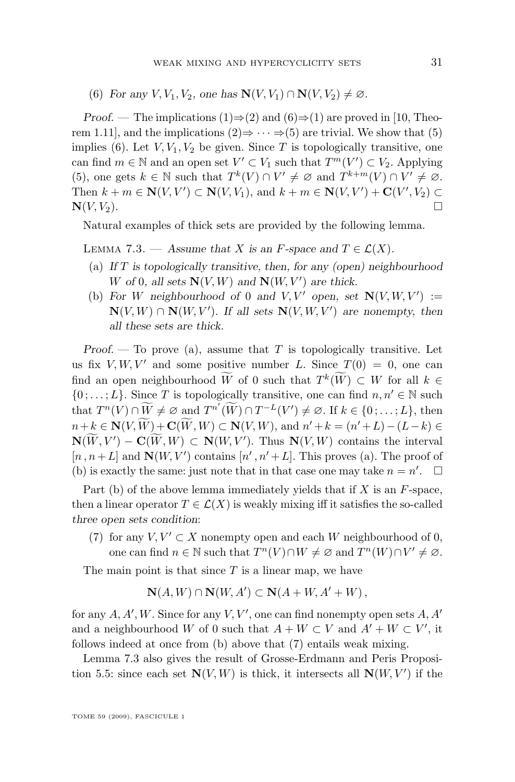(6) *For any*  $V, V_1, V_2$ *, one has*  $\mathbf{N}(V, V_1) \cap \mathbf{N}(V, V_2) \neq \emptyset$ *.* 

*Proof.* — The implications (1) $\Rightarrow$ (2) and (6) $\Rightarrow$ (1) are proved in [\[10,](#page-34-0) Theorem 1.11], and the implications  $(2) \Rightarrow \cdots \Rightarrow (5)$  are trivial. We show that  $(5)$ implies (6). Let  $V, V_1, V_2$  be given. Since T is topologically transitive, one can find  $m \in \mathbb{N}$  and an open set  $V' \subset V_1$  such that  $T^m(V') \subset V_2$ . Applying (5), one gets  $k \in \mathbb{N}$  such that  $T^k(V) \cap V' \neq \emptyset$  and  $T^{k+m}(V) \cap V' \neq \emptyset$ . Then  $k + m \in \mathbf{N}(V, V') \subset \mathbf{N}(V, V_1)$ , and  $k + m \in \mathbf{N}(V, V') + \mathbf{C}(V', V_2) \subset$  $\mathbf{N}(V, V_2)$ .

Natural examples of thick sets are provided by the following lemma.

LEMMA 7.3. — Assume that X is an F-space and  $T \in \mathcal{L}(X)$ .

- (a) *If* T *is topologically transitive, then, for any (open) neighbourhood* W of 0, all sets  $N(V, W)$  and  $N(W, V')$  are thick.
- (b) For W neighbourhood of 0 and  $V, V'$  open, set  $N(V, W, V') :=$  $N(V, W) \cap N(W, V')$ . If all sets  $N(V, W, V')$  are nonempty, then *all these sets are thick.*

*Proof.* — To prove (a), assume that T is topologically transitive. Let us fix V, W, V' and some positive number L. Since  $T(0) = 0$ , one can find an open neighbourhood W of 0 such that  $T^k(W) \subset W$  for all  $k \in$  $\{0, \ldots, L\}$ . Since T is topologically transitive, one can find  $n, n' \in \mathbb{N}$  such that  $T^n(V) \cap \widetilde{W} \neq \emptyset$  and  $T^{n'}(\widetilde{W}) \cap T^{-L}(V') \neq \emptyset$ . If  $k \in \{0, \ldots, L\}$ , then  $n+k \in \mathbb{N}(V, W) + \mathbb{C}(W, W) \subset \mathbb{N}(V, W)$ , and  $n'+k = (n'+L) - (L-k) \in \mathbb{N}(V, W)$  $N(W, V') - C(W, W) \subset N(W, V')$ . Thus  $N(V, W)$  contains the interval  $[n, n+L]$  and  $\mathbf{N}(W, V')$  contains  $[n', n'+L]$ . This proves (a). The proof of (b) is exactly the same: just note that in that case one may take  $n = n'$ .  $\Box$ 

Part (b) of the above lemma immediately yields that if  $X$  is an  $F$ -space, then a linear operator  $T \in \mathcal{L}(X)$  is weakly mixing iff it satisfies the so-called *three open sets condition*:

(7) for any  $V, V' \subset X$  nonempty open and each W neighbourhood of 0, one can find  $n \in \mathbb{N}$  such that  $T^{n}(V) \cap W \neq \emptyset$  and  $T^{n}(W) \cap V' \neq \emptyset$ .

The main point is that since  $T$  is a linear map, we have

$$
\mathbf{N}(A, W) \cap \mathbf{N}(W, A') \subset \mathbf{N}(A + W, A' + W),
$$

for any  $A, A', W$ . Since for any  $V, V'$ , one can find nonempty open sets  $A, A'$ and a neighbourhood W of 0 such that  $A + W \subset V$  and  $A' + W \subset V'$ , it follows indeed at once from (b) above that (7) entails weak mixing.

Lemma 7.3 also gives the result of Grosse-Erdmann and Peris Proposi-tion [5.5:](#page-24-0) since each set  $N(V, W)$  is thick, it intersects all  $N(W, V')$  if the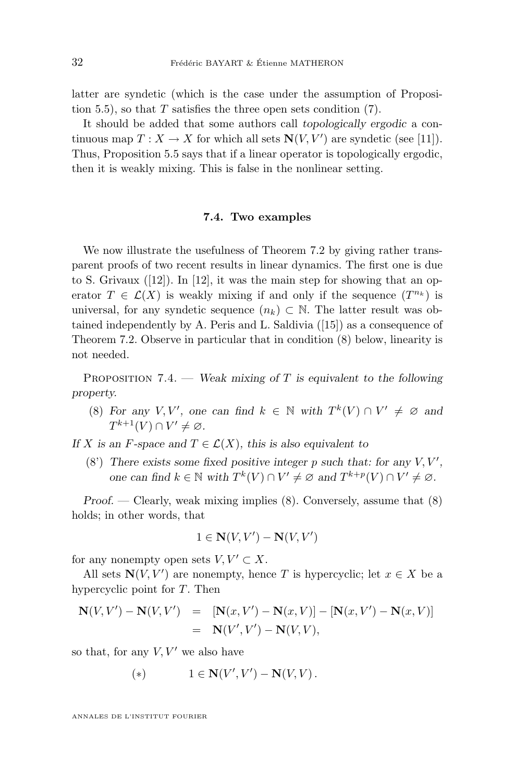latter are syndetic (which is the case under the assumption of Proposi-tion [5.5\)](#page-24-0), so that  $T$  satisfies the three open sets condition  $(7)$ .

It should be added that some authors call *topologically ergodic* a continuous map  $T: X \to X$  for which all sets  $N(V, V')$  are syndetic (see [\[11\]](#page-34-0)). Thus, Proposition [5.5](#page-24-0) says that if a linear operator is topologically ergodic, then it is weakly mixing. This is false in the nonlinear setting.

## **7.4. Two examples**

We now illustrate the usefulness of Theorem [7.2](#page-30-0) by giving rather transparent proofs of two recent results in linear dynamics. The first one is due to S. Grivaux  $([12])$  $([12])$  $([12])$ . In [12], it was the main step for showing that an operator  $T \in \mathcal{L}(X)$  is weakly mixing if and only if the sequence  $(T^{n_k})$  is universal, for any syndetic sequence  $(n_k) \subset \mathbb{N}$ . The latter result was obtained independently by A. Peris and L. Saldivia ([\[15\]](#page-34-0)) as a consequence of Theorem [7.2.](#page-30-0) Observe in particular that in condition (8) below, linearity is not needed.

Proposition 7.4. — *Weak mixing of* T *is equivalent to the following property.*

(8) For any  $V, V'$ , one can find  $k \in \mathbb{N}$  with  $T^k(V) \cap V' \neq \emptyset$  and  $T^{k+1}(V) \cap V' \neq \varnothing$ .

*If* X is an F-space and  $T \in \mathcal{L}(X)$ , this is also equivalent to

(8) There exists some fixed positive integer p such that: for any  $V, V',$ *one can find*  $k \in \mathbb{N}$  *with*  $T^k(V) \cap V' \neq \emptyset$  *and*  $T^{k+p}(V) \cap V' \neq \emptyset$ *.* 

*Proof.* — Clearly, weak mixing implies (8). Conversely, assume that (8) holds; in other words, that

$$
1 \in \mathbf{N}(V, V') - \mathbf{N}(V, V')
$$

for any nonempty open sets  $V, V' \subset X$ .

All sets  $N(V, V')$  are nonempty, hence T is hypercyclic; let  $x \in X$  be a hypercyclic point for T. Then

$$
\mathbf{N}(V, V') - \mathbf{N}(V, V') = [\mathbf{N}(x, V') - \mathbf{N}(x, V)] - [\mathbf{N}(x, V') - \mathbf{N}(x, V)]
$$
  
= 
$$
\mathbf{N}(V', V') - \mathbf{N}(V, V),
$$

so that, for any  $V, V'$  we also have

(\*) 
$$
1 \in \mathbf{N}(V', V') - \mathbf{N}(V, V).
$$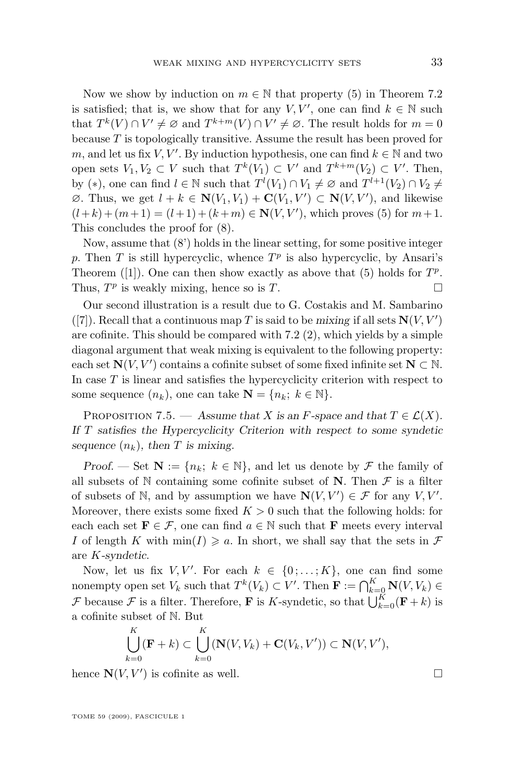Now we show by induction on  $m \in \mathbb{N}$  that property (5) in Theorem [7.2](#page-30-0) is satisfied; that is, we show that for any  $V, V'$ , one can find  $k \in \mathbb{N}$  such that  $T^k(V) \cap V' \neq \emptyset$  and  $T^{k+m}(V) \cap V' \neq \emptyset$ . The result holds for  $m = 0$ because  $T$  is topologically transitive. Assume the result has been proved for m, and let us fix V, V'. By induction hypothesis, one can find  $k \in \mathbb{N}$  and two open sets  $V_1, V_2 \subset V$  such that  $T^k(V_1) \subset V'$  and  $T^{k+m}(V_2) \subset V'$ . Then, by (\*), one can find  $l \in \mathbb{N}$  such that  $T^l(V_1) \cap V_1 \neq \emptyset$  and  $T^{l+1}(V_2) \cap V_2 \neq$  $\emptyset$ . Thus, we get  $l + k \in \mathbf{N}(V_1, V_1) + \mathbf{C}(V_1, V') \subset \mathbf{N}(V, V')$ , and likewise  $(l+k)+(m+1)=(l+1)+(k+m) \in \mathbf{N}(V,V')$ , which proves (5) for  $m+1$ . This concludes the proof for (8).

Now, assume that  $(8')$  holds in the linear setting, for some positive integer p. Then T is still hypercyclic, whence  $T<sup>p</sup>$  is also hypercyclic, by Ansari's Theorem ([\[1\]](#page-34-0)). One can then show exactly as above that (5) holds for  $T^p$ . Thus,  $T^p$  is weakly mixing, hence so is T.

Our second illustration is a result due to G. Costakis and M. Sambarino ([\[7\]](#page-34-0)). Recall that a continuous map T is said to be *mixing* if all sets  $N(V, V')$ are cofinite. This should be compared with [7.2](#page-30-0) (2), which yields by a simple diagonal argument that weak mixing is equivalent to the following property: each set  $\mathbf{N}(V, V')$  contains a cofinite subset of some fixed infinite set  $\mathbf{N} \subset \mathbb{N}$ . In case  $T$  is linear and satisfies the hypercyclicity criterion with respect to some sequence  $(n_k)$ , one can take  $\mathbf{N} = \{n_k; k \in \mathbb{N}\}.$ 

PROPOSITION 7.5. — Assume that X is an F-space and that  $T \in \mathcal{L}(X)$ . *If* T *satisfies the Hypercyclicity Criterion with respect to some syndetic sequence*  $(n_k)$ *, then T is mixing.* 

*Proof.* — Set  $\mathbf{N} := \{n_k; k \in \mathbb{N}\}\$ , and let us denote by  $\mathcal F$  the family of all subsets of N containing some cofinite subset of N. Then  $\mathcal F$  is a filter of subsets of N, and by assumption we have  $N(V, V') \in \mathcal{F}$  for any  $V, V'$ . Moreover, there exists some fixed  $K > 0$  such that the following holds: for each each set  $\mathbf{F} \in \mathcal{F}$ , one can find  $a \in \mathbb{N}$  such that **F** meets every interval I of length K with  $\min(I) \geq a$ . In short, we shall say that the sets in F are K*-syndetic*.

Now, let us fix  $V, V'$ . For each  $k \in \{0, \ldots, K\}$ , one can find some nonempty open set  $V_k$  such that  $T^k(V_k) \subset V'$ . Then  $\mathbf{F} := \bigcap_{k=0}^K \mathbf{N}(V, V_k) \in$ F because F is a filter. Therefore, **F** is K-syndetic, so that  $\bigcup_{k=0}^{K} (\mathbf{F} + k)$  is a cofinite subset of N. But

$$
\bigcup_{k=0}^K (\mathbf{F} + k) \subset \bigcup_{k=0}^K (\mathbf{N}(V, V_k) + \mathbf{C}(V_k, V')) \subset \mathbf{N}(V, V'),
$$

hence  $N(V, V')$  is cofinite as well.

TOME 59 (2009), FASCICULE 1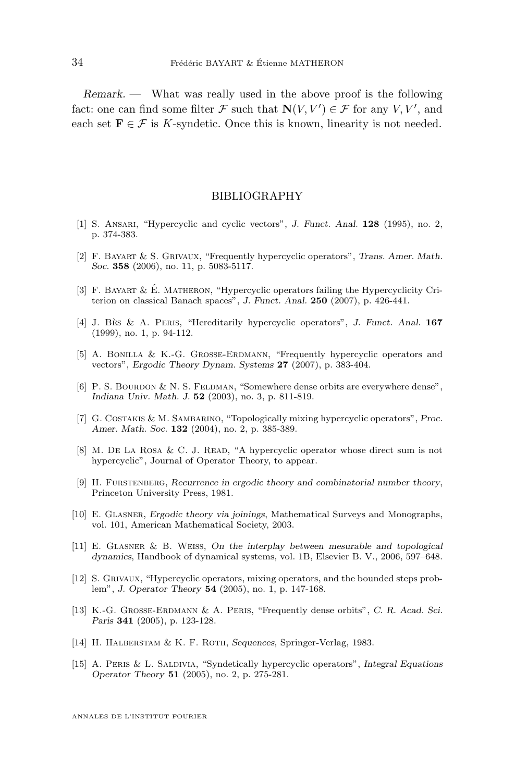<span id="page-34-0"></span>*Remark. —* What was really used in the above proof is the following fact: one can find some filter  $\mathcal F$  such that  $\mathbf N(V,V') \in \mathcal F$  for any  $V, V'$ , and each set  $\mathbf{F} \in \mathcal{F}$  is K-syndetic. Once this is known, linearity is not needed.

## BIBLIOGRAPHY

- [1] S. Ansari, "Hypercyclic and cyclic vectors", *J. Funct. Anal.* **128** (1995), no. 2, p. 374-383.
- [2] F. Bayart & S. Grivaux, "Frequently hypercyclic operators", *Trans. Amer. Math. Soc.* **358** (2006), no. 11, p. 5083-5117.
- [3] F. Bayart & É. Matheron, "Hypercyclic operators failing the Hypercyclicity Criterion on classical Banach spaces", *J. Funct. Anal.* **250** (2007), p. 426-441.
- [4] J. Bès & A. Peris, "Hereditarily hypercyclic operators", *J. Funct. Anal.* **167** (1999), no. 1, p. 94-112.
- [5] A. Bonilla & K.-G. Grosse-Erdmann, "Frequently hypercyclic operators and vectors", *Ergodic Theory Dynam. Systems* **27** (2007), p. 383-404.
- [6] P. S. Bourdon & N. S. Feldman, "Somewhere dense orbits are everywhere dense", *Indiana Univ. Math. J.* **52** (2003), no. 3, p. 811-819.
- [7] G. Costakis & M. Sambarino, "Topologically mixing hypercyclic operators", *Proc. Amer. Math. Soc.* **132** (2004), no. 2, p. 385-389.
- [8] M. DE LA ROSA & C. J. READ, "A hypercyclic operator whose direct sum is not hypercyclic", Journal of Operator Theory, to appear.
- [9] H. Furstenberg, *Recurrence in ergodic theory and combinatorial number theory*, Princeton University Press, 1981.
- [10] E. Glasner, *Ergodic theory via joinings*, Mathematical Surveys and Monographs, vol. 101, American Mathematical Society, 2003.
- [11] E. Glasner & B. Weiss, *On the interplay between mesurable and topological dynamics*, Handbook of dynamical systems, vol. 1B, Elsevier B. V., 2006, 597–648.
- [12] S. Grivaux, "Hypercyclic operators, mixing operators, and the bounded steps problem", *J. Operator Theory* **54** (2005), no. 1, p. 147-168.
- [13] K.-G. Grosse-Erdmann & A. Peris, "Frequently dense orbits", *C. R. Acad. Sci. Paris* **341** (2005), p. 123-128.
- [14] H. HALBERSTAM & K. F. ROTH, *Sequences*, Springer-Verlag, 1983.
- [15] A. Peris & L. Saldivia, "Syndetically hypercyclic operators", *Integral Equations Operator Theory* **51** (2005), no. 2, p. 275-281.